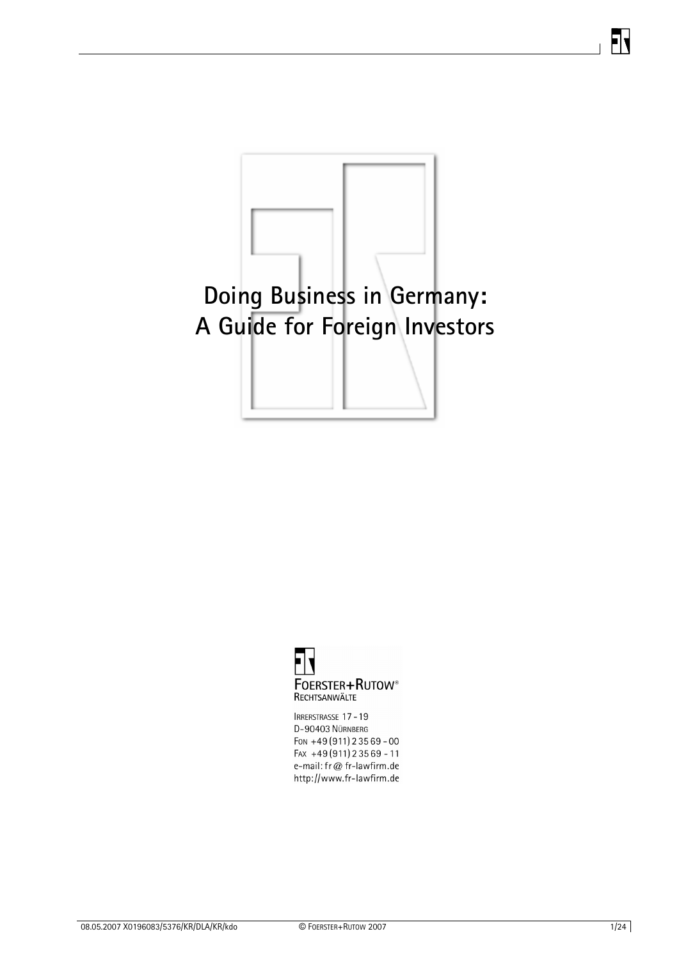# **Doing Business in Germany: A Guide for Foreign Investors**



IRRERSTRASSE 17-19 D-90403 NÜRNBERG Fon +49 (911) 235 69 - 00  $FAX +49(911)23569 - 11$ e-mail: fr@ fr-lawfirm.de http://www.fr-lawfirm.de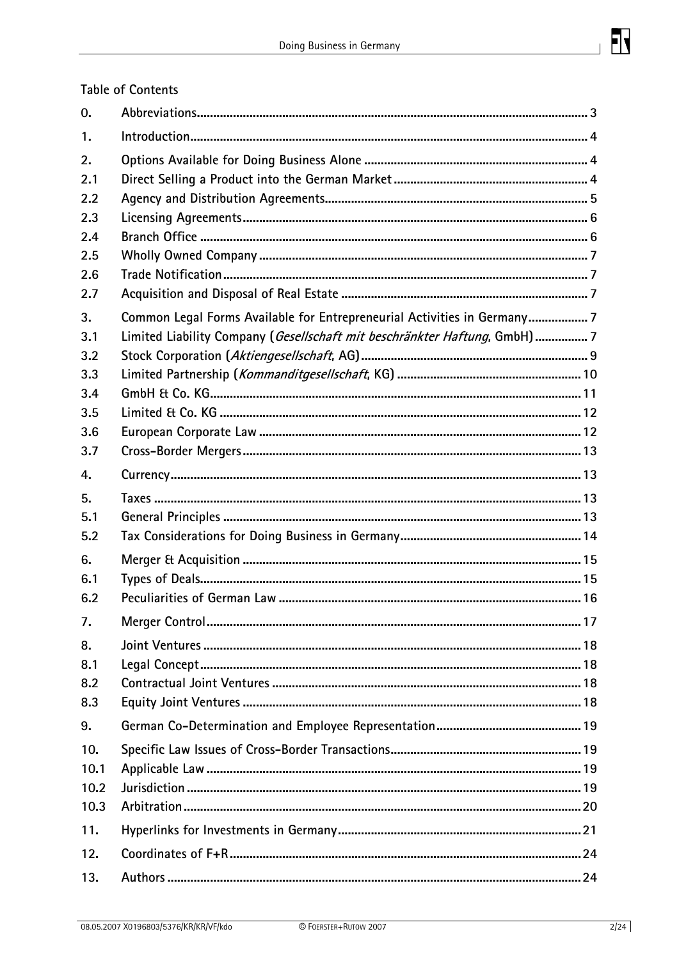

# **Table of Contents**

| 0.   |                                                                          |
|------|--------------------------------------------------------------------------|
| 1.   |                                                                          |
| 2.   |                                                                          |
| 2.1  |                                                                          |
| 2.2  |                                                                          |
| 2.3  |                                                                          |
| 2.4  |                                                                          |
| 2.5  |                                                                          |
| 2.6  |                                                                          |
| 2.7  |                                                                          |
| 3.   | Common Legal Forms Available for Entrepreneurial Activities in Germany7  |
| 3.1  | Limited Liability Company (Gesellschaft mit beschränkter Haftung, GmbH)7 |
| 3.2  |                                                                          |
| 3.3  |                                                                          |
| 3.4  |                                                                          |
| 3.5  |                                                                          |
| 3.6  |                                                                          |
| 3.7  |                                                                          |
| 4.   |                                                                          |
| 5.   |                                                                          |
| 5.1  |                                                                          |
| 5.2  |                                                                          |
| 6.   |                                                                          |
| 6.1  |                                                                          |
| 6.2  |                                                                          |
| 7.   |                                                                          |
| 8.   |                                                                          |
| 8.1  |                                                                          |
| 8.2  |                                                                          |
| 8.3  |                                                                          |
| 9.   |                                                                          |
| 10.  |                                                                          |
| 10.1 |                                                                          |
| 10.2 |                                                                          |
| 10.3 |                                                                          |
| 11.  |                                                                          |
|      |                                                                          |
| 12.  |                                                                          |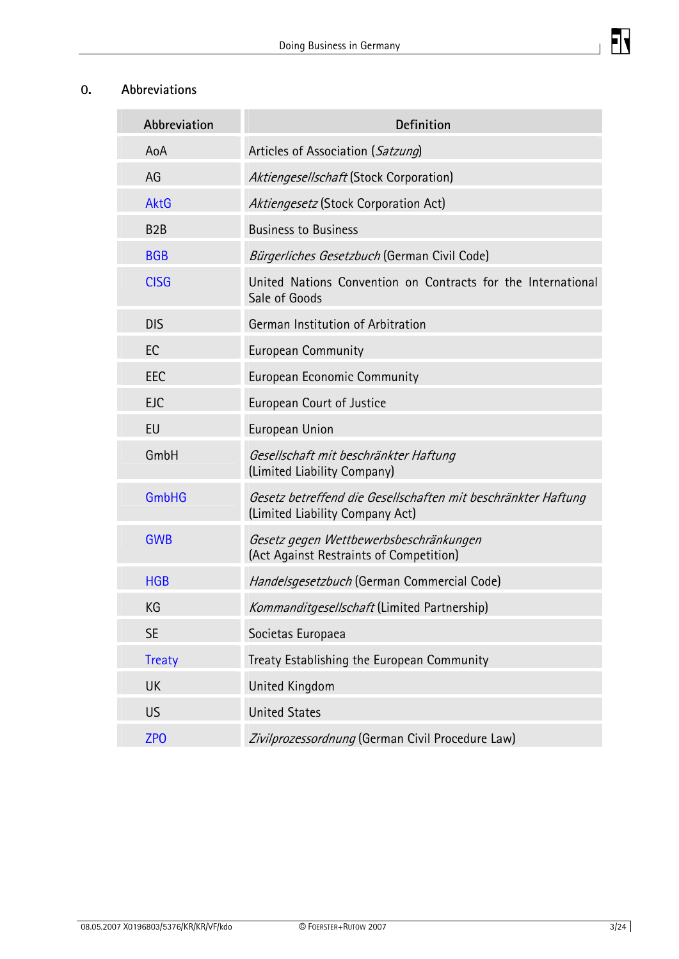

 $\mathbf{J}$ 

<span id="page-2-0"></span>

| Abbreviation     | <b>Definition</b>                                                                                |  |
|------------------|--------------------------------------------------------------------------------------------------|--|
| AoA              | Articles of Association (Satzung)                                                                |  |
| AG               | Aktiengesellschaft (Stock Corporation)                                                           |  |
| <b>AktG</b>      | Aktiengesetz (Stock Corporation Act)                                                             |  |
| B <sub>2</sub> B | <b>Business to Business</b>                                                                      |  |
| <b>BGB</b>       | Bürgerliches Gesetzbuch (German Civil Code)                                                      |  |
| <b>CISG</b>      | United Nations Convention on Contracts for the International<br>Sale of Goods                    |  |
| <b>DIS</b>       | German Institution of Arbitration                                                                |  |
| EC               | <b>European Community</b>                                                                        |  |
| EEC              | <b>European Economic Community</b>                                                               |  |
| <b>EJC</b>       | <b>European Court of Justice</b>                                                                 |  |
| EU               | European Union                                                                                   |  |
| GmbH             | Gesellschaft mit beschränkter Haftung<br>(Limited Liability Company)                             |  |
| <b>GmbHG</b>     | Gesetz betreffend die Gesellschaften mit beschränkter Haftung<br>(Limited Liability Company Act) |  |
| <b>GWB</b>       | Gesetz gegen Wettbewerbsbeschränkungen<br>(Act Against Restraints of Competition)                |  |
| <b>HGB</b>       | Handelsgesetzbuch (German Commercial Code)                                                       |  |
| KG               | Kommanditgesellschaft (Limited Partnership)                                                      |  |
| <b>SE</b>        | Societas Europaea                                                                                |  |
| <b>Treaty</b>    | Treaty Establishing the European Community                                                       |  |
| <b>UK</b>        | <b>United Kingdom</b>                                                                            |  |
| US               | <b>United States</b>                                                                             |  |
| ZP <sub>O</sub>  | Zivilprozessordnung (German Civil Procedure Law)                                                 |  |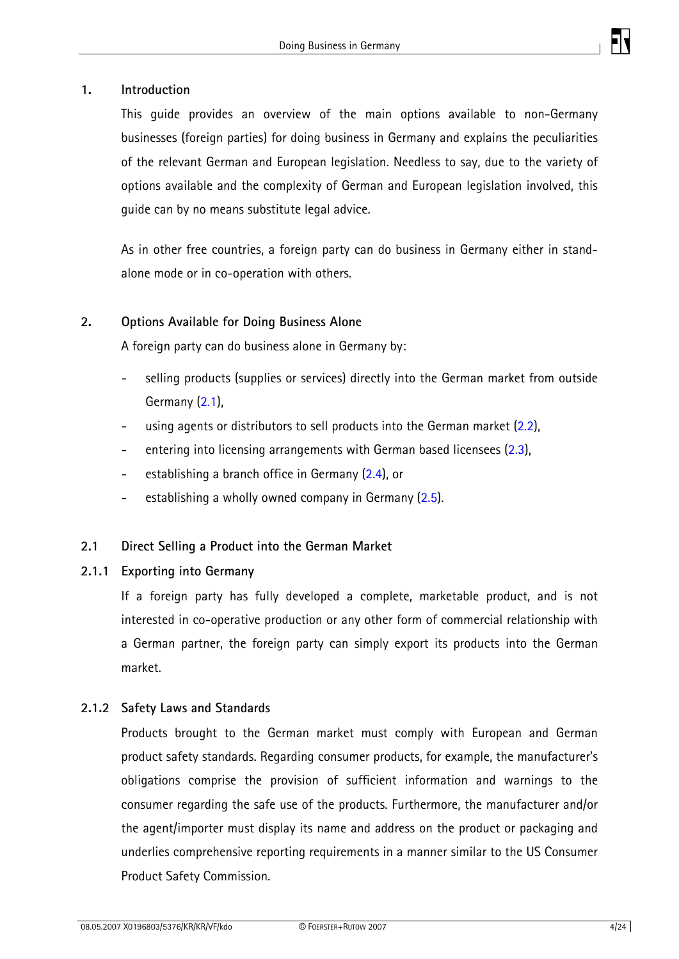

#### <span id="page-3-0"></span>**1. Introduction**

This guide provides an overview of the main options available to non-Germany businesses (foreign parties) for doing business in Germany and explains the peculiarities of the relevant German and European legislation. Needless to say, due to the variety of options available and the complexity of German and European legislation involved, this guide can by no means substitute legal advice.

As in other free countries, a foreign party can do business in Germany either in standalone mode or in co-operation with others.

#### **2. Options Available for Doing Business Alone**

A foreign party can do business alone in Germany by:

- selling products (supplies or services) directly into the German market from outside Germany ([2.1](#page-3-0)),
- using agents or distributors to sell products into the German market ([2.2](#page-4-0)),
- entering into licensing arrangements with German based licensees ([2.3](#page-5-0)),
- establishing a branch office in Germany ([2.4](#page-5-0)), or
- establishing a wholly owned company in Germany  $(2.5)$ .

#### **2.1 Direct Selling a Product into the German Market**

#### **2.1.1 Exporting into Germany**

If a foreign party has fully developed a complete, marketable product, and is not interested in co-operative production or any other form of commercial relationship with a German partner, the foreign party can simply export its products into the German market.

#### **2.1.2 Safety Laws and Standards**

Products brought to the German market must comply with European and German product safety standards. Regarding consumer products, for example, the manufacturer's obligations comprise the provision of sufficient information and warnings to the consumer regarding the safe use of the products. Furthermore, the manufacturer and/or the agent/importer must display its name and address on the product or packaging and underlies comprehensive reporting requirements in a manner similar to the US Consumer Product Safety Commission.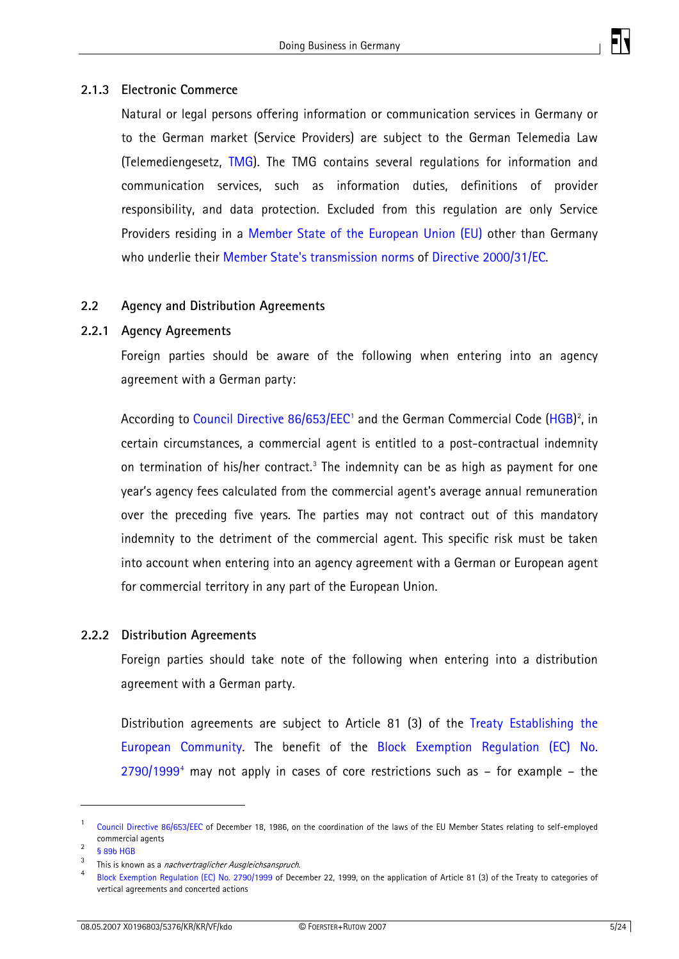

#### <span id="page-4-0"></span>**2.1.3 Electronic Commerce**

Natural or legal persons offering information or communication services in Germany or to the German market (Service Providers) are subject to the German Telemedia Law (Telemediengesetz, TMG). The TMG contains several regulations for information and communication services, such as information duties, definitions of provider responsibility, and data protection. Excluded from this regulation are only Service Providers residing in a [Member State of the European Union \(EU\)](http://europa.eu/abc/european_countries/index_en.htm) other than Germany who underlie their [Member State's transmission norms](http://eur-lex.europa.eu/Notice.do?val=414672:cs&lang=de&list=341894:cs,277887:cs,278903:cs,277726:cs,236968:cs,414672:cs,236200:cs,&pos=6&page=1&nbl=7&pgs=10&hwords=2000/31/EC~&checktexte=checkbox&visu=#texte) of [Directive 2000/31/EC.](http://eur-lex.europa.eu/LexUriServ/LexUriServ.do?uri=CELEX:32000L0031:EN:HTML)

#### **2.2 Agency and Distribution Agreements**

#### **2.2.1 Agency Agreements**

Foreign parties should be aware of the following when entering into an agency agreement with a German party:

According to [Council Directive 86/653/EEC](http://eur-lex.europa.eu/LexUriServ/LexUriServ.do?uri=CELEX:31986L0653:EN:HTML)<sup>[1](#page-4-1)</sup> and the German Commercial Code ([HGB\)](http://www.gesetze-im-internet.de/hgb/index.html)<sup>[2](#page-4-2)</sup>, in certain circumstances, a commercial agent is entitled to a post-contractual indemnity on termination of his/her contract.<sup>3</sup> The indemnity can be as high as payment for one year's agency fees calculated from the commercial agent's average annual remuneration over the preceding five years. The parties may not contract out of this mandatory indemnity to the detriment of the commercial agent. This specific risk must be taken into account when entering into an agency agreement with a German or European agent for commercial territory in any part of the European Union.

#### **2.2.2 Distribution Agreements**

Foreign parties should take note of the following when entering into a distribution agreement with a German party.

Distribution agreements are subject to Article 81 (3) of the [Treaty Establishing the](http://eur-lex.europa.eu/LexUriServ/site/en/oj/2006/ce321/ce32120061229en00010331.pdf)  [European Community](http://eur-lex.europa.eu/LexUriServ/site/en/oj/2006/ce321/ce32120061229en00010331.pdf). The benefit of the [Block Exemption Regulation \(EC\) No.](http://eur-lex.europa.eu/LexUriServ/LexUriServ.do?uri=CELEX:31999R2790:EN:HTML)   $2790/1999<sup>4</sup>$  $2790/1999<sup>4</sup>$  $2790/1999<sup>4</sup>$  $2790/1999<sup>4</sup>$  may not apply in cases of core restrictions such as  $-$  for example  $-$  the

<span id="page-4-1"></span><sup>1</sup> Council Directive 86/653/EEC of December 18, 1986, on the coordination of the laws of the EU Member States relating to self-employed commercial agents

 <sup>§ 89</sup>b HGB

<span id="page-4-3"></span><span id="page-4-2"></span><sup>3</sup>  $\frac{3}{4}$  This is known as a *nachvertraglicher Ausgleichsanspruch*.

<span id="page-4-4"></span>Block Exemption Regulation (EC) No. 2790/1999 of December 22, 1999, on the application of Article 81 (3) of the Treaty to categories of vertical agreements and concerted actions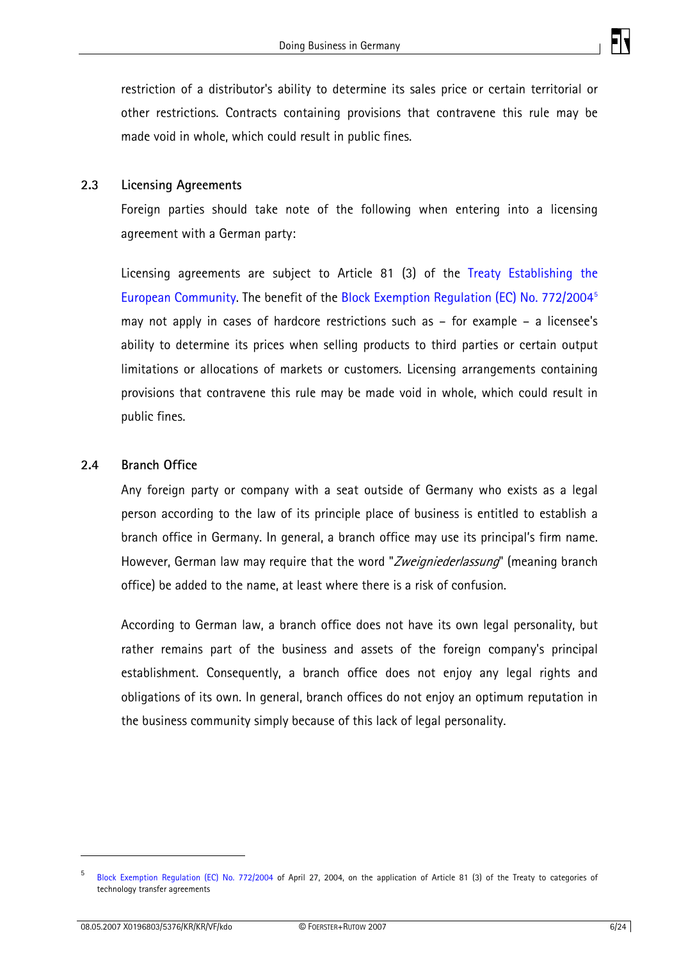

<span id="page-5-0"></span>restriction of a distributor's ability to determine its sales price or certain territorial or other restrictions. Contracts containing provisions that contravene this rule may be made void in whole, which could result in public fines.

#### **2.3 Licensing Agreements**

Foreign parties should take note of the following when entering into a licensing agreement with a German party:

Licensing agreements are subject to Article 81 (3) of the [Treaty Establishing the](http://eur-lex.europa.eu/LexUriServ/LexUriServ.do?uri=CELEX:31999R2790:EN:HTML)  [European Community](http://eur-lex.europa.eu/LexUriServ/LexUriServ.do?uri=CELEX:31999R2790:EN:HTML). The benefit of the [Block Exemption Regulation \(EC\) No. 772/2004](http://eur-lex.europa.eu/LexUriServ/LexUriServ.do?uri=CELEX:32004R0772:EN:HTML)[5](#page-5-1) may not apply in cases of hardcore restrictions such as – for example – a licensee's ability to determine its prices when selling products to third parties or certain output limitations or allocations of markets or customers. Licensing arrangements containing provisions that contravene this rule may be made void in whole, which could result in public fines.

#### **2.4 Branch Office**

Any foreign party or company with a seat outside of Germany who exists as a legal person according to the law of its principle place of business is entitled to establish a branch office in Germany. In general, a branch office may use its principal's firm name. However, German law may require that the word "Zweigniederlassung" (meaning branch office) be added to the name, at least where there is a risk of confusion.

According to German law, a branch office does not have its own legal personality, but rather remains part of the business and assets of the foreign company's principal establishment. Consequently, a branch office does not enjoy any legal rights and obligations of its own. In general, branch offices do not enjoy an optimum reputation in the business community simply because of this lack of legal personality.

<span id="page-5-1"></span><sup>5</sup> Block Exemption Regulation (EC) No. 772/2004 of April 27, 2004, on the application of Article 81 (3) of the Treaty to categories of technology transfer agreements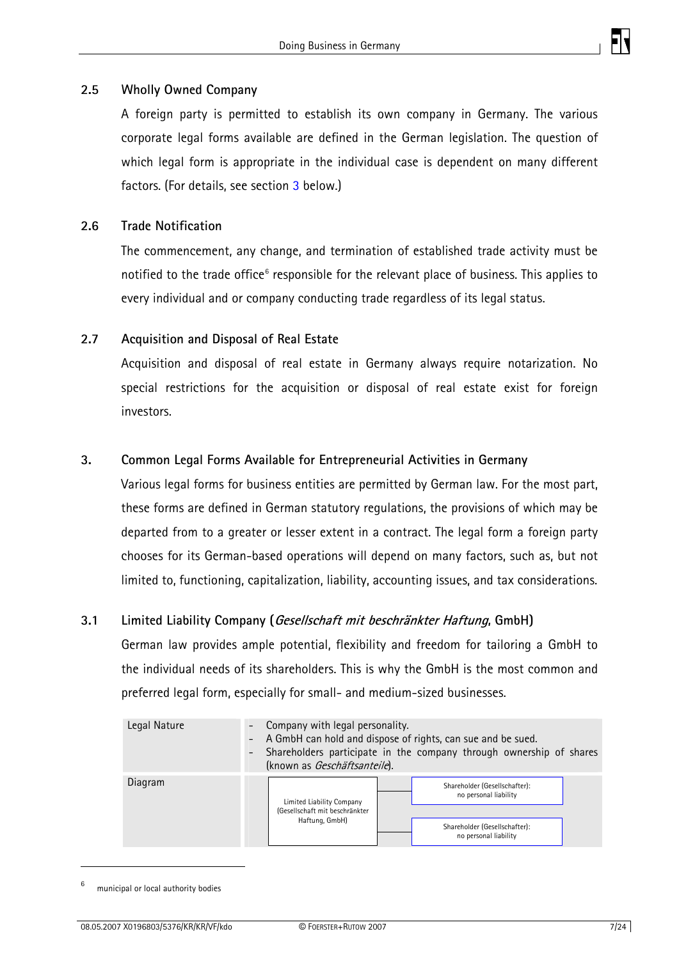

#### <span id="page-6-0"></span>**2.5 Wholly Owned Company**

A foreign party is permitted to establish its own company in Germany. The various corporate legal forms available are defined in the German legislation. The question of which legal form is appropriate in the individual case is dependent on many different factors. (For details, see section [3](#page-6-0) below.)

#### **2.6 Trade Notification**

The commencement, any change, and termination of established trade activity must be notified to the trade office<sup>[6](#page-6-1)</sup> responsible for the relevant place of business. This applies to every individual and or company conducting trade regardless of its legal status.

#### **2.7 Acquisition and Disposal of Real Estate**

Acquisition and disposal of real estate in Germany always require notarization. No special restrictions for the acquisition or disposal of real estate exist for foreign investors.

#### **3. Common Legal Forms Available for Entrepreneurial Activities in Germany**

Various legal forms for business entities are permitted by German law. For the most part, these forms are defined in German statutory regulations, the provisions of which may be departed from to a greater or lesser extent in a contract. The legal form a foreign party chooses for its German-based operations will depend on many factors, such as, but not limited to, functioning, capitalization, liability, accounting issues, and tax considerations.

#### **3.1 Limited Liability Company (Gesellschaft mit beschränkter Haftung, GmbH)**

German law provides ample potential, flexibility and freedom for tailoring a GmbH to the individual needs of its shareholders. This is why the GmbH is the most common and preferred legal form, especially for small- and medium-sized businesses.

| Legal Nature | - Company with legal personality.<br>- A GmbH can hold and dispose of rights, can sue and be sued.<br>Shareholders participate in the company through ownership of shares<br>(known as Geschäftsanteile). |                                                        |  |
|--------------|-----------------------------------------------------------------------------------------------------------------------------------------------------------------------------------------------------------|--------------------------------------------------------|--|
| Diagram      | Limited Liability Company<br>(Gesellschaft mit beschränkter                                                                                                                                               | Shareholder (Gesellschafter):<br>no personal liability |  |
|              | Haftung, GmbH)                                                                                                                                                                                            | Shareholder (Gesellschafter):<br>no personal liability |  |

<span id="page-6-1"></span><sup>6</sup> municipal or local authority bodies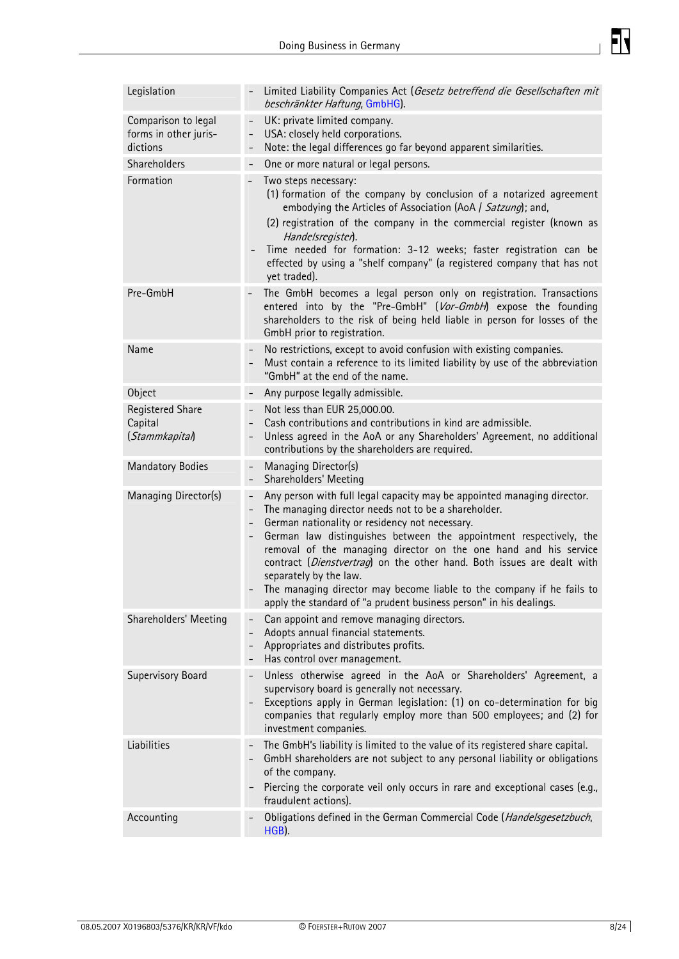

| Legislation                                              | Limited Liability Companies Act (Gesetz betreffend die Gesellschaften mit<br>beschränkter Haftung, GmbHG).                                                                                                                                                                                                                                                                                                                                                                                                                                                                                  |
|----------------------------------------------------------|---------------------------------------------------------------------------------------------------------------------------------------------------------------------------------------------------------------------------------------------------------------------------------------------------------------------------------------------------------------------------------------------------------------------------------------------------------------------------------------------------------------------------------------------------------------------------------------------|
| Comparison to legal<br>forms in other juris-<br>dictions | UK: private limited company.<br>USA: closely held corporations.<br>$\overline{\phantom{0}}$<br>Note: the legal differences go far beyond apparent similarities.<br>$\overline{\phantom{0}}$                                                                                                                                                                                                                                                                                                                                                                                                 |
| Shareholders                                             | One or more natural or legal persons.<br>$\qquad \qquad -$                                                                                                                                                                                                                                                                                                                                                                                                                                                                                                                                  |
| Formation                                                | Two steps necessary:<br>(1) formation of the company by conclusion of a notarized agreement<br>embodying the Articles of Association (AoA / Satzung); and,<br>(2) registration of the company in the commercial register (known as<br>Handelsregister).<br>Time needed for formation: 3-12 weeks; faster registration can be<br>effected by using a "shelf company" (a registered company that has not<br>yet traded).                                                                                                                                                                      |
| Pre-GmbH                                                 | The GmbH becomes a legal person only on registration. Transactions<br>entered into by the "Pre-GmbH" (Vor-GmbH) expose the founding<br>shareholders to the risk of being held liable in person for losses of the<br>GmbH prior to registration.                                                                                                                                                                                                                                                                                                                                             |
| Name                                                     | No restrictions, except to avoid confusion with existing companies.<br>Must contain a reference to its limited liability by use of the abbreviation<br>"GmbH" at the end of the name.                                                                                                                                                                                                                                                                                                                                                                                                       |
| Object                                                   | Any purpose legally admissible.<br>$\qquad \qquad -$                                                                                                                                                                                                                                                                                                                                                                                                                                                                                                                                        |
| Registered Share<br>Capital<br>(Stammkapital)            | Not less than EUR 25,000.00.<br>$\qquad \qquad -$<br>Cash contributions and contributions in kind are admissible.<br>Unless agreed in the AoA or any Shareholders' Agreement, no additional<br>contributions by the shareholders are required.                                                                                                                                                                                                                                                                                                                                              |
|                                                          |                                                                                                                                                                                                                                                                                                                                                                                                                                                                                                                                                                                             |
| <b>Mandatory Bodies</b>                                  | Managing Director(s)<br>$\overline{\phantom{0}}$<br>Shareholders' Meeting<br>$\qquad \qquad -$                                                                                                                                                                                                                                                                                                                                                                                                                                                                                              |
| Managing Director(s)                                     | Any person with full legal capacity may be appointed managing director.<br>$\bar{ }$<br>The managing director needs not to be a shareholder.<br>German nationality or residency not necessary.<br>German law distinguishes between the appointment respectively, the<br>removal of the managing director on the one hand and his service<br>contract (Dienstvertrag) on the other hand. Both issues are dealt with<br>separately by the law.<br>The managing director may become liable to the company if he fails to<br>apply the standard of "a prudent business person" in his dealings. |
| Shareholders' Meeting                                    | Can appoint and remove managing directors.<br>$\overline{\phantom{0}}$<br>Adopts annual financial statements.<br>$\overline{\phantom{0}}$<br>Appropriates and distributes profits.<br>Has control over management.                                                                                                                                                                                                                                                                                                                                                                          |
| Supervisory Board                                        | Unless otherwise agreed in the AoA or Shareholders' Agreement, a<br>supervisory board is generally not necessary.<br>Exceptions apply in German legislation: (1) on co-determination for big<br>companies that regularly employ more than 500 employees; and (2) for<br>investment companies.                                                                                                                                                                                                                                                                                               |
| Liabilities                                              | The GmbH's liability is limited to the value of its registered share capital.<br>GmbH shareholders are not subject to any personal liability or obligations<br>of the company.<br>Piercing the corporate veil only occurs in rare and exceptional cases (e.g.,<br>-<br>fraudulent actions).                                                                                                                                                                                                                                                                                                 |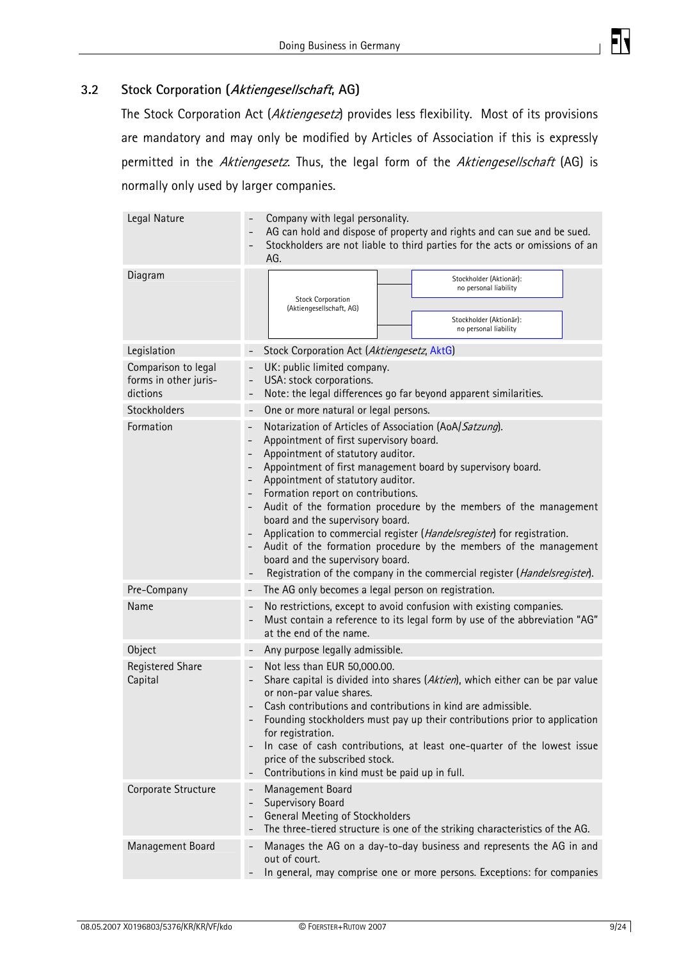

#### <span id="page-8-0"></span>**3.2 Stock Corporation (Aktiengesellschaft, AG)**

The Stock Corporation Act (Aktiengesetz) provides less flexibility. Most of its provisions are mandatory and may only be modified by Articles of Association if this is expressly permitted in the Aktiengesetz. Thus, the legal form of the Aktiengesellschaft (AG) is normally only used by larger companies.

| Legal Nature                                             | Company with legal personality.<br>AG can hold and dispose of property and rights and can sue and be sued.<br>Stockholders are not liable to third parties for the acts or omissions of an<br>AG.                                                                                                                                                                                                                                                                                                                                                                                                                                                                                                                                                                                                     |  |  |  |
|----------------------------------------------------------|-------------------------------------------------------------------------------------------------------------------------------------------------------------------------------------------------------------------------------------------------------------------------------------------------------------------------------------------------------------------------------------------------------------------------------------------------------------------------------------------------------------------------------------------------------------------------------------------------------------------------------------------------------------------------------------------------------------------------------------------------------------------------------------------------------|--|--|--|
| Diagram                                                  | Stockholder (Aktionär):<br>no personal liability<br><b>Stock Corporation</b><br>(Aktiengesellschaft, AG)<br>Stockholder (Aktionär):<br>no personal liability                                                                                                                                                                                                                                                                                                                                                                                                                                                                                                                                                                                                                                          |  |  |  |
| Legislation                                              | Stock Corporation Act (Aktiengesetz, AktG)                                                                                                                                                                                                                                                                                                                                                                                                                                                                                                                                                                                                                                                                                                                                                            |  |  |  |
| Comparison to legal<br>forms in other juris-<br>dictions | UK: public limited company.<br>$\overline{\phantom{0}}$<br>USA: stock corporations.<br>$\overline{\phantom{0}}$<br>Note: the legal differences go far beyond apparent similarities.                                                                                                                                                                                                                                                                                                                                                                                                                                                                                                                                                                                                                   |  |  |  |
| Stockholders                                             | One or more natural or legal persons.<br>$\overline{\phantom{0}}$                                                                                                                                                                                                                                                                                                                                                                                                                                                                                                                                                                                                                                                                                                                                     |  |  |  |
| Formation                                                | Notarization of Articles of Association (AoA/Satzung).<br>$\overline{\phantom{a}}$<br>Appointment of first supervisory board.<br>$\qquad \qquad -$<br>Appointment of statutory auditor.<br>$\overline{\phantom{a}}$<br>Appointment of first management board by supervisory board.<br>$\qquad \qquad -$<br>Appointment of statutory auditor.<br>$\qquad \qquad -$<br>Formation report on contributions.<br>$\qquad \qquad -$<br>Audit of the formation procedure by the members of the management<br>board and the supervisory board.<br>Application to commercial register (Handelsregister) for registration.<br>Audit of the formation procedure by the members of the management<br>board and the supervisory board.<br>Registration of the company in the commercial register (Handelsregister). |  |  |  |
| Pre-Company                                              | The AG only becomes a legal person on registration.                                                                                                                                                                                                                                                                                                                                                                                                                                                                                                                                                                                                                                                                                                                                                   |  |  |  |
| Name                                                     | No restrictions, except to avoid confusion with existing companies.<br>$\qquad \qquad -$<br>Must contain a reference to its legal form by use of the abbreviation "AG"<br>at the end of the name.                                                                                                                                                                                                                                                                                                                                                                                                                                                                                                                                                                                                     |  |  |  |
| Object                                                   | Any purpose legally admissible.<br>$\overline{\phantom{a}}$                                                                                                                                                                                                                                                                                                                                                                                                                                                                                                                                                                                                                                                                                                                                           |  |  |  |
| <b>Registered Share</b><br>Capital                       | Not less than EUR 50,000.00.<br>$\overline{\phantom{a}}$<br>Share capital is divided into shares (Aktien), which either can be par value<br>$\overline{\phantom{a}}$<br>or non-par value shares.<br>Cash contributions and contributions in kind are admissible.<br>Founding stockholders must pay up their contributions prior to application<br>for registration.<br>In case of cash contributions, at least one-quarter of the lowest issue<br>$\overline{\phantom{a}}$<br>price of the subscribed stock.<br>Contributions in kind must be paid up in full.                                                                                                                                                                                                                                        |  |  |  |
| Corporate Structure                                      | Management Board<br>Supervisory Board<br>$\overline{\phantom{a}}$<br>General Meeting of Stockholders<br>$\overline{\phantom{a}}$<br>The three-tiered structure is one of the striking characteristics of the AG.                                                                                                                                                                                                                                                                                                                                                                                                                                                                                                                                                                                      |  |  |  |
| Management Board                                         | Manages the AG on a day-to-day business and represents the AG in and<br>out of court.<br>In general, may comprise one or more persons. Exceptions: for companies                                                                                                                                                                                                                                                                                                                                                                                                                                                                                                                                                                                                                                      |  |  |  |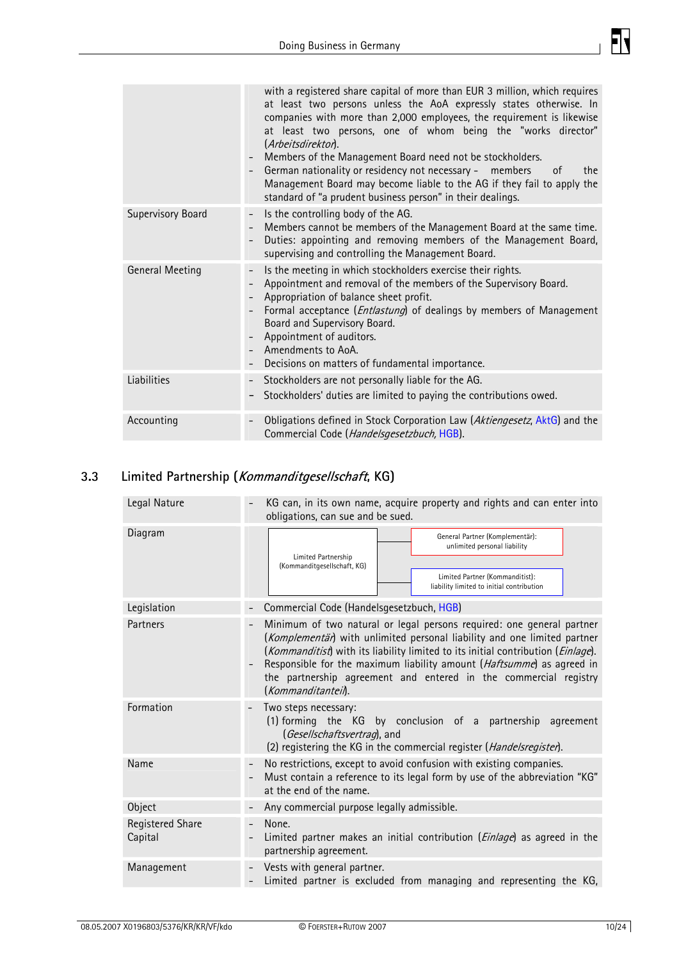

<span id="page-9-0"></span>

|                          | with a registered share capital of more than EUR 3 million, which requires<br>at least two persons unless the AoA expressly states otherwise. In<br>companies with more than 2,000 employees, the requirement is likewise<br>at least two persons, one of whom being the "works director"<br>(Arbeitsdirektor).<br>Members of the Management Board need not be stockholders.<br>German nationality or residency not necessary - members<br>0f<br>the<br>Management Board may become liable to the AG if they fail to apply the<br>standard of "a prudent business person" in their dealings. |
|--------------------------|----------------------------------------------------------------------------------------------------------------------------------------------------------------------------------------------------------------------------------------------------------------------------------------------------------------------------------------------------------------------------------------------------------------------------------------------------------------------------------------------------------------------------------------------------------------------------------------------|
| <b>Supervisory Board</b> | Is the controlling body of the AG.<br>Members cannot be members of the Management Board at the same time.<br>Duties: appointing and removing members of the Management Board,<br>supervising and controlling the Management Board.                                                                                                                                                                                                                                                                                                                                                           |
| <b>General Meeting</b>   | Is the meeting in which stockholders exercise their rights.<br>Appointment and removal of the members of the Supervisory Board.<br>Appropriation of balance sheet profit.<br>Formal acceptance ( <i>Entlastung</i> ) of dealings by members of Management<br>Board and Supervisory Board.<br>Appointment of auditors.<br>Amendments to AoA.<br>Decisions on matters of fundamental importance.                                                                                                                                                                                               |
| Liabilities              | Stockholders are not personally liable for the AG.<br>Stockholders' duties are limited to paying the contributions owed.                                                                                                                                                                                                                                                                                                                                                                                                                                                                     |
| Accounting               | Obligations defined in Stock Corporation Law (Aktiengesetz, AktG) and the<br>Commercial Code (Handelsgesetzbuch, HGB).                                                                                                                                                                                                                                                                                                                                                                                                                                                                       |

# **3.3 Limited Partnership (Kommanditgesellschaft, KG)**

| Legal Nature                | KG can, in its own name, acquire property and rights and can enter into<br>obligations, can sue and be sued.                                                                                                                                                                                                                                                                                            |  |  |
|-----------------------------|---------------------------------------------------------------------------------------------------------------------------------------------------------------------------------------------------------------------------------------------------------------------------------------------------------------------------------------------------------------------------------------------------------|--|--|
| Diagram                     | General Partner (Komplementär):<br>unlimited personal liability<br>Limited Partnership<br>(Kommanditgesellschaft, KG)<br>Limited Partner (Kommanditist):<br>liability limited to initial contribution                                                                                                                                                                                                   |  |  |
| Legislation                 | Commercial Code (Handelsgesetzbuch, HGB)                                                                                                                                                                                                                                                                                                                                                                |  |  |
| Partners                    | Minimum of two natural or legal persons required: one general partner<br>(Komplementär) with unlimited personal liability and one limited partner<br>(Kommanditist) with its liability limited to its initial contribution (Einlage).<br>Responsible for the maximum liability amount (Haftsumme) as agreed in<br>the partnership agreement and entered in the commercial registry<br>(Kommanditantei). |  |  |
| Formation                   | Two steps necessary:<br>(1) forming the KG by conclusion of a partnership agreement<br>(Gesellschaftsvertrag), and<br>(2) registering the KG in the commercial register (Handelsregister).                                                                                                                                                                                                              |  |  |
| Name                        | No restrictions, except to avoid confusion with existing companies.<br>Must contain a reference to its legal form by use of the abbreviation "KG"<br>at the end of the name.                                                                                                                                                                                                                            |  |  |
| Object                      | Any commercial purpose legally admissible.                                                                                                                                                                                                                                                                                                                                                              |  |  |
| Registered Share<br>Capital | None.<br>$\overline{\phantom{0}}$<br>Limited partner makes an initial contribution ( <i>Einlage</i> ) as agreed in the<br>partnership agreement.                                                                                                                                                                                                                                                        |  |  |
| Management                  | Vests with general partner.<br>Limited partner is excluded from managing and representing the KG,                                                                                                                                                                                                                                                                                                       |  |  |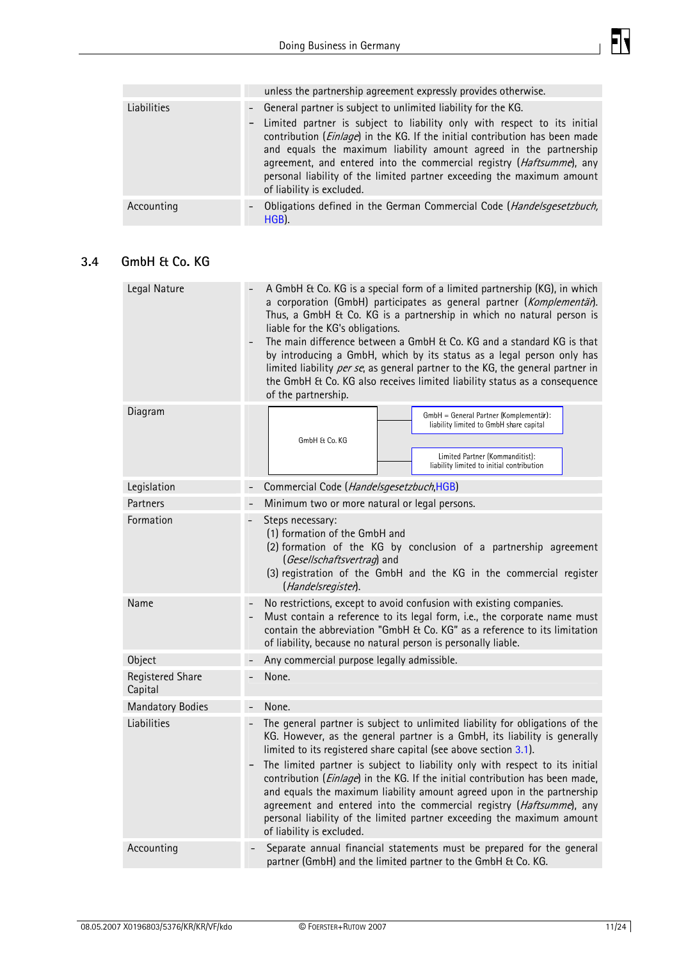

<span id="page-10-0"></span>

|             | unless the partnership agreement expressly provides otherwise.                                                                                                                                                                                                                                                                                                                                                                                                                            |
|-------------|-------------------------------------------------------------------------------------------------------------------------------------------------------------------------------------------------------------------------------------------------------------------------------------------------------------------------------------------------------------------------------------------------------------------------------------------------------------------------------------------|
| Liabilities | - General partner is subject to unlimited liability for the KG.<br>- Limited partner is subject to liability only with respect to its initial<br>contribution ( <i>Einlage</i> ) in the KG. If the initial contribution has been made<br>and equals the maximum liability amount agreed in the partnership<br>agreement, and entered into the commercial registry (Haftsumme), any<br>personal liability of the limited partner exceeding the maximum amount<br>of liability is excluded. |
| Accounting  | Obligations defined in the German Commercial Code (Handelsgesetzbuch,<br>$\overline{\phantom{a}}$<br>HGB).                                                                                                                                                                                                                                                                                                                                                                                |

## **3.4 GmbH & Co. KG**

| Legal Nature                       | A GmbH & Co. KG is a special form of a limited partnership (KG), in which<br>a corporation (GmbH) participates as general partner (Komplementär).<br>Thus, a GmbH & Co. KG is a partnership in which no natural person is<br>liable for the KG's obligations.<br>The main difference between a GmbH & Co. KG and a standard KG is that<br>$\overline{\phantom{0}}$<br>by introducing a GmbH, which by its status as a legal person only has<br>limited liability per se, as general partner to the KG, the general partner in<br>the GmbH & Co. KG also receives limited liability status as a consequence<br>of the partnership.                              |  |  |
|------------------------------------|----------------------------------------------------------------------------------------------------------------------------------------------------------------------------------------------------------------------------------------------------------------------------------------------------------------------------------------------------------------------------------------------------------------------------------------------------------------------------------------------------------------------------------------------------------------------------------------------------------------------------------------------------------------|--|--|
| Diagram                            | GmbH = General Partner (Komplementär):<br>liability limited to GmbH share capital<br>GmbH & Co. KG<br>Limited Partner (Kommanditist):<br>liability limited to initial contribution                                                                                                                                                                                                                                                                                                                                                                                                                                                                             |  |  |
| Legislation                        | Commercial Code (Handelsgesetzbuch,HGB)                                                                                                                                                                                                                                                                                                                                                                                                                                                                                                                                                                                                                        |  |  |
| Partners                           | Minimum two or more natural or legal persons.                                                                                                                                                                                                                                                                                                                                                                                                                                                                                                                                                                                                                  |  |  |
| Formation                          | Steps necessary:<br>(1) formation of the GmbH and<br>(2) formation of the KG by conclusion of a partnership agreement<br>(Gesellschaftsvertrag) and<br>(3) registration of the GmbH and the KG in the commercial register<br>(Handelsregister).                                                                                                                                                                                                                                                                                                                                                                                                                |  |  |
| Name                               | No restrictions, except to avoid confusion with existing companies.<br>Must contain a reference to its legal form, i.e., the corporate name must<br>contain the abbreviation "GmbH & Co. KG" as a reference to its limitation<br>of liability, because no natural person is personally liable.                                                                                                                                                                                                                                                                                                                                                                 |  |  |
| Object                             | Any commercial purpose legally admissible.                                                                                                                                                                                                                                                                                                                                                                                                                                                                                                                                                                                                                     |  |  |
| <b>Registered Share</b><br>Capital | None.                                                                                                                                                                                                                                                                                                                                                                                                                                                                                                                                                                                                                                                          |  |  |
| <b>Mandatory Bodies</b>            | None.                                                                                                                                                                                                                                                                                                                                                                                                                                                                                                                                                                                                                                                          |  |  |
| Liabilities                        | The general partner is subject to unlimited liability for obligations of the<br>KG. However, as the general partner is a GmbH, its liability is generally<br>limited to its registered share capital (see above section 3.1).<br>The limited partner is subject to liability only with respect to its initial<br>contribution ( <i>Einlage</i> ) in the KG. If the initial contribution has been made,<br>and equals the maximum liability amount agreed upon in the partnership<br>agreement and entered into the commercial registry (Haftsumme), any<br>personal liability of the limited partner exceeding the maximum amount<br>of liability is excluded. |  |  |
| Accounting                         | Separate annual financial statements must be prepared for the general<br>partner (GmbH) and the limited partner to the GmbH & Co. KG.                                                                                                                                                                                                                                                                                                                                                                                                                                                                                                                          |  |  |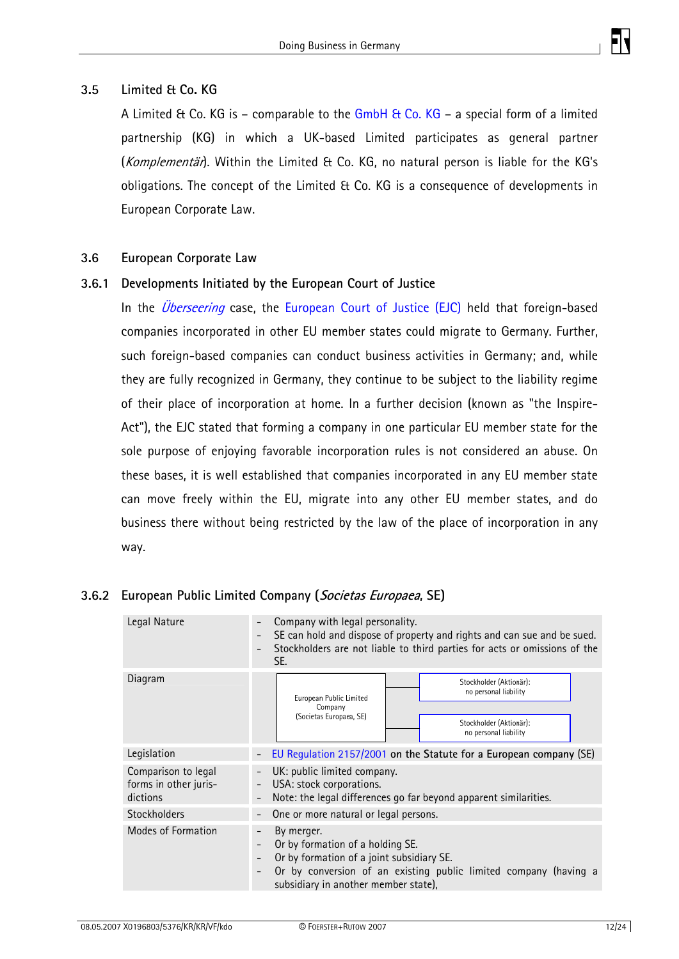

#### <span id="page-11-0"></span>**3.5 Limited & Co. KG**

A Limited & Co. KG is – comparable to the [GmbH & Co. KG](#page-10-0) – a special form of a limited partnership (KG) in which a UK-based Limited participates as general partner (Komplementär). Within the Limited & Co. KG, no natural person is liable for the KG's obligations. The concept of the Limited & Co. KG is a consequence of developments in European Corporate Law.

#### **3.6 European Corporate Law**

#### **3.6.1 Developments Initiated by the European Court of Justice**

In the *[Überseering](http://eur-lex.europa.eu/LexUriServ/site/en/oj/2002/c_323/c_32320021221en00120013.pdf)* case, the [European Court of Justice \(EJC\)](http://curia.europa.eu/) held that foreign-based companies incorporated in other EU member states could migrate to Germany. Further, such foreign-based companies can conduct business activities in Germany; and, while they are fully recognized in Germany, they continue to be subject to the liability regime of their place of incorporation at home. In a further decision (known as "the Inspire-Act"), the EJC stated that forming a company in one particular EU member state for the sole purpose of enjoying favorable incorporation rules is not considered an abuse. On these bases, it is well established that companies incorporated in any EU member state can move freely within the EU, migrate into any other EU member states, and do business there without being restricted by the law of the place of incorporation in any way.

| Legal Nature                                             | Company with legal personality.<br>SE can hold and dispose of property and rights and can sue and be sued.<br>$\overline{\phantom{a}}$<br>Stockholders are not liable to third parties for acts or omissions of the<br>SE.          |  |  |
|----------------------------------------------------------|-------------------------------------------------------------------------------------------------------------------------------------------------------------------------------------------------------------------------------------|--|--|
| Diagram                                                  | Stockholder (Aktionär):<br>no personal liability<br>European Public Limited<br>Company<br>(Societas Europaea, SE)<br>Stockholder (Aktionär):<br>no personal liability                                                               |  |  |
| Legislation                                              | EU Regulation 2157/2001 on the Statute for a European company (SE)<br>$\overline{\phantom{a}}$                                                                                                                                      |  |  |
| Comparison to legal<br>forms in other juris-<br>dictions | UK: public limited company.<br>USA: stock corporations.<br>$\overline{\phantom{a}}$<br>Note: the legal differences go far beyond apparent similarities.                                                                             |  |  |
| Stockholders                                             | One or more natural or legal persons.                                                                                                                                                                                               |  |  |
| Modes of Formation                                       | By merger.<br>Or by formation of a holding SE.<br>Or by formation of a joint subsidiary SE.<br>$\overline{\phantom{a}}$<br>Or by conversion of an existing public limited company (having a<br>subsidiary in another member state), |  |  |

#### **3.6.2 European Public Limited Company (Societas Europaea, SE)**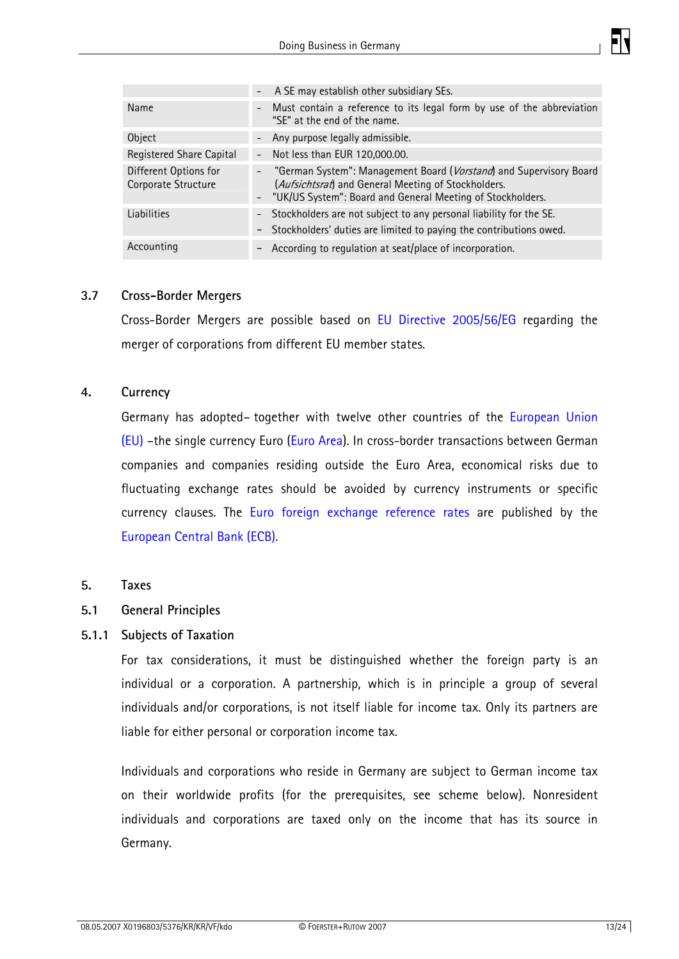

<span id="page-12-0"></span>

|                                              | - A SE may establish other subsidiary SEs.                                                                                                                                                  |
|----------------------------------------------|---------------------------------------------------------------------------------------------------------------------------------------------------------------------------------------------|
| Name                                         | - Must contain a reference to its legal form by use of the abbreviation<br>"SE" at the end of the name.                                                                                     |
| Object                                       | - Any purpose legally admissible.                                                                                                                                                           |
| Registered Share Capital                     | - Not less than EUR 120,000.00.                                                                                                                                                             |
| Different Options for<br>Corporate Structure | - "German System": Management Board (Vorstand) and Supervisory Board<br>(Aufsichtsrat) and General Meeting of Stockholders.<br>- "UK/US System": Board and General Meeting of Stockholders. |
| Liabilities                                  | - Stockholders are not subject to any personal liability for the SE.<br>- Stockholders' duties are limited to paying the contributions owed.                                                |
| Accounting                                   | According to regulation at seat/place of incorporation.<br>-                                                                                                                                |

#### **3.7 Cross-Border Mergers**

Cross-Border Mergers are possible based on [EU Directive 2005/56/EG](http://eur-lex.europa.eu/LexUriServ/LexUriServ.do?uri=OJ:L:2005:310:0001:01:EN:HTML) regarding the merger of corporations from different EU member states.

#### **4. Currency**

Germany has adopted– together with twelve other countries of the [European Union](http://www.europa.eu/abc/european_countries/index_en.htm)  [\(EU\)](http://www.europa.eu/abc/european_countries/index_en.htm) –the single currency Euro [\(Euro Area\)](http://www.ecb.de/bc/intro/html/map.en.html). In cross-border transactions between German companies and companies residing outside the Euro Area, economical risks due to fluctuating exchange rates should be avoided by currency instruments or specific currency clauses. The [Euro foreign exchange reference rates](http://www.ecb.de/stats/exchange/eurofxref/html/index.en.html) are published by the [European Central Bank \(ECB\).](http://www.ecb.de/ecb/html/index.en.html)

#### **5. Taxes**

#### **5.1 General Principles**

#### **5.1.1 Subjects of Taxation**

For tax considerations, it must be distinguished whether the foreign party is an individual or a corporation. A partnership, which is in principle a group of several individuals and/or corporations, is not itself liable for income tax. Only its partners are liable for either personal or corporation income tax.

Individuals and corporations who reside in Germany are subject to German income tax on their worldwide profits (for the prerequisites, see scheme below). Nonresident individuals and corporations are taxed only on the income that has its source in Germany.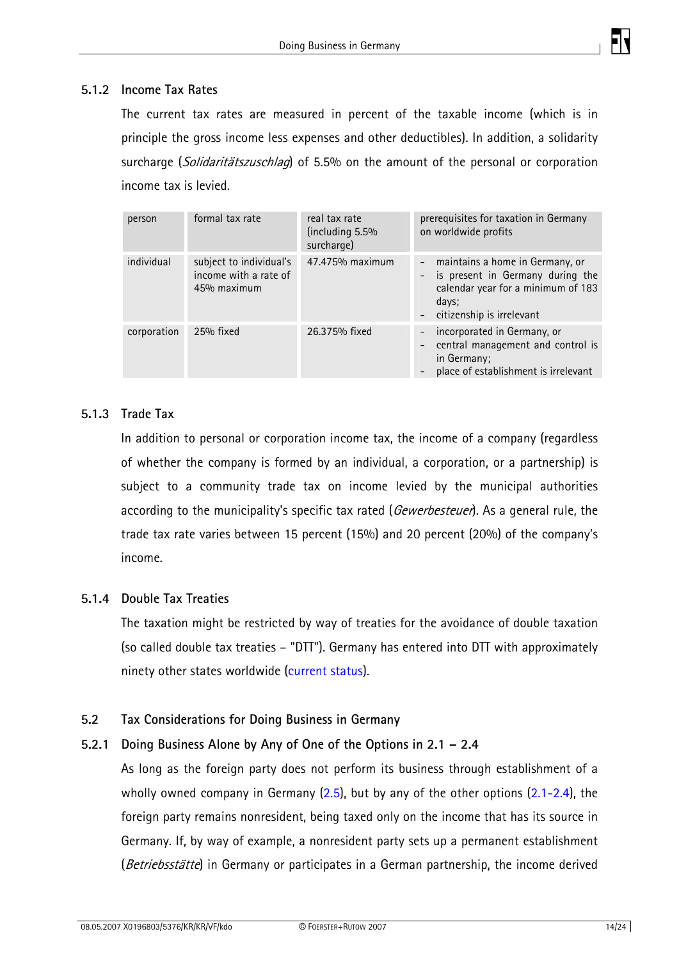

#### <span id="page-13-0"></span>**5.1.2 Income Tax Rates**

The current tax rates are measured in percent of the taxable income (which is in principle the gross income less expenses and other deductibles). In addition, a solidarity surcharge (Solidaritätszuschlag) of 5.5% on the amount of the personal or corporation income tax is levied.

| person      | formal tax rate                                                 | real tax rate<br>(including 5.5%)<br>surcharge) | prerequisites for taxation in Germany<br>on worldwide profits                                                                                                 |
|-------------|-----------------------------------------------------------------|-------------------------------------------------|---------------------------------------------------------------------------------------------------------------------------------------------------------------|
| individual  | subject to individual's<br>income with a rate of<br>45% maximum | 47.475% maximum                                 | maintains a home in Germany, or<br>$\sim$<br>- is present in Germany during the<br>calendar year for a minimum of 183<br>days;<br>- citizenship is irrelevant |
| corporation | 25% fixed                                                       | 26.375% fixed                                   | - incorporated in Germany, or<br>- central management and control is<br>in Germany;<br>place of establishment is irrelevant                                   |

#### **5.1.3 Trade Tax**

In addition to personal or corporation income tax, the income of a company (regardless of whether the company is formed by an individual, a corporation, or a partnership) is subject to a community trade tax on income levied by the municipal authorities according to the municipality's specific tax rated (Gewerbesteuer). As a general rule, the trade tax rate varies between 15 percent (15%) and 20 percent (20%) of the company's income.

#### **5.1.4 Double Tax Treaties**

The taxation might be restricted by way of treaties for the avoidance of double taxation (so called double tax treaties – "DTT"). Germany has entered into DTT with approximately ninety other states worldwide ([current status](http://www.bundesfinanzministerium.de/cln_01/nn_318/DE/Steuern/Veroeffentlichungen__zu__Steuerarten/Internationales__Steuerrecht/001.html)).

#### **5.2 Tax Considerations for Doing Business in Germany**

#### **5.2.1 Doing Business Alone by Any of One of the Options in 2.1 – 2.4**

As long as the foreign party does not perform its business through establishment of a wholly owned company in Germany  $(2.5)$  $(2.5)$  $(2.5)$ , but by any of the other options  $(2.1-2.4)$  $(2.1-2.4)$ , the foreign party remains nonresident, being taxed only on the income that has its source in Germany. If, by way of example, a nonresident party sets up a permanent establishment (Betriebsstätte) in Germany or participates in a German partnership, the income derived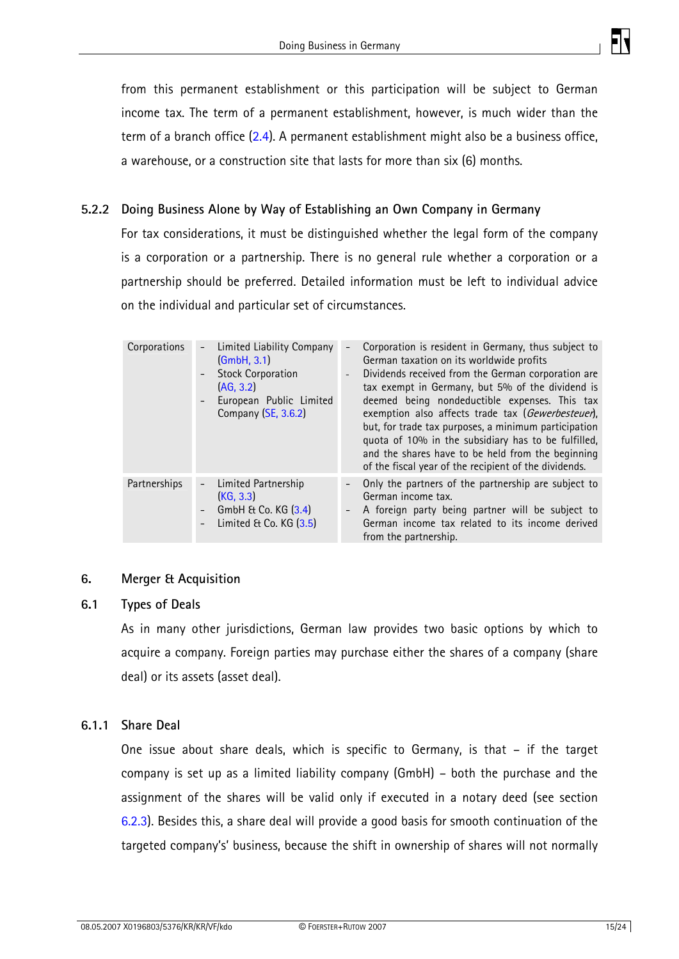

<span id="page-14-0"></span>from this permanent establishment or this participation will be subject to German income tax. The term of a permanent establishment, however, is much wider than the term of a branch office [\(2.4\)](#page-5-0). A permanent establishment might also be a business office, a warehouse, or a construction site that lasts for more than six (6) months.

## **5.2.2 Doing Business Alone by Way of Establishing an Own Company in Germany**

For tax considerations, it must be distinguished whether the legal form of the company is a corporation or a partnership. There is no general rule whether a corporation or a partnership should be preferred. Detailed information must be left to individual advice on the individual and particular set of circumstances.

| Corporations | Limited Liability Company<br>(GmbH, 3.1)<br><b>Stock Corporation</b><br>(AG, 3.2)<br>European Public Limited<br>Company (SE, 3.6.2) | $\sim$           | Corporation is resident in Germany, thus subject to<br>German taxation on its worldwide profits<br>Dividends received from the German corporation are<br>tax exempt in Germany, but 5% of the dividend is<br>deemed being nondeductible expenses. This tax<br>exemption also affects trade tax (Gewerbesteuer),<br>but, for trade tax purposes, a minimum participation<br>quota of 10% in the subsidiary has to be fulfilled,<br>and the shares have to be held from the beginning<br>of the fiscal year of the recipient of the dividends. |
|--------------|-------------------------------------------------------------------------------------------------------------------------------------|------------------|----------------------------------------------------------------------------------------------------------------------------------------------------------------------------------------------------------------------------------------------------------------------------------------------------------------------------------------------------------------------------------------------------------------------------------------------------------------------------------------------------------------------------------------------|
| Partnerships | Limited Partnership<br>(KG, 3.3)<br>GmbH & Co. KG (3.4)<br>Limited $E$ Co. KG $(3.5)$                                               | $\sim$<br>$\sim$ | Only the partners of the partnership are subject to<br>German income tax.<br>A foreign party being partner will be subject to<br>German income tax related to its income derived<br>from the partnership.                                                                                                                                                                                                                                                                                                                                    |

#### **6. Merger & Acquisition**

#### **6.1 Types of Deals**

As in many other jurisdictions, German law provides two basic options by which to acquire a company. Foreign parties may purchase either the shares of a company (share deal) or its assets (asset deal).

#### **6.1.1 Share Deal**

One issue about share deals, which is specific to Germany, is that – if the target company is set up as a limited liability company (GmbH) – both the purchase and the assignment of the shares will be valid only if executed in a notary deed (see section [6.2.3](#page-16-0)). Besides this, a share deal will provide a good basis for smooth continuation of the targeted company's' business, because the shift in ownership of shares will not normally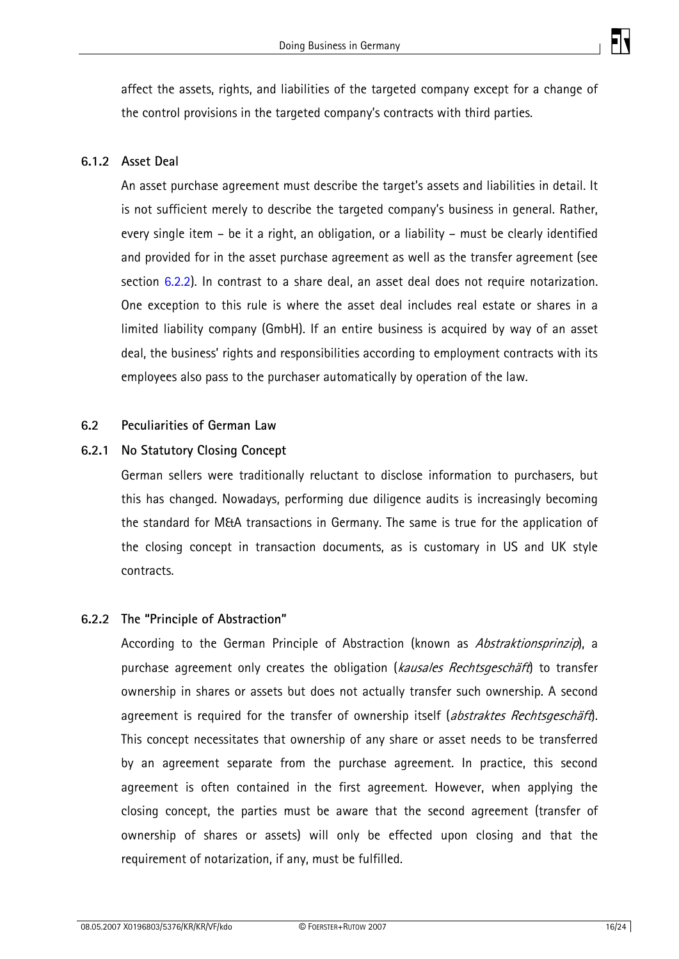

<span id="page-15-0"></span>affect the assets, rights, and liabilities of the targeted company except for a change of the control provisions in the targeted company's contracts with third parties.

#### **6.1.2 Asset Deal**

An asset purchase agreement must describe the target's assets and liabilities in detail. It is not sufficient merely to describe the targeted company's business in general. Rather, every single item – be it a right, an obligation, or a liability – must be clearly identified and provided for in the asset purchase agreement as well as the transfer agreement (see section [6.2.2](#page-15-0)). In contrast to a share deal, an asset deal does not require notarization. One exception to this rule is where the asset deal includes real estate or shares in a limited liability company (GmbH). If an entire business is acquired by way of an asset deal, the business' rights and responsibilities according to employment contracts with its employees also pass to the purchaser automatically by operation of the law.

#### **6.2 Peculiarities of German Law**

#### **6.2.1 No Statutory Closing Concept**

German sellers were traditionally reluctant to disclose information to purchasers, but this has changed. Nowadays, performing due diligence audits is increasingly becoming the standard for M&A transactions in Germany. The same is true for the application of the closing concept in transaction documents, as is customary in US and UK style contracts.

#### **6.2.2 The "Principle of Abstraction"**

According to the German Principle of Abstraction (known as Abstraktionsprinzip), a purchase agreement only creates the obligation (kausales Rechtsgeschäft) to transfer ownership in shares or assets but does not actually transfer such ownership. A second agreement is required for the transfer of ownership itself (abstraktes Rechtsgeschäft). This concept necessitates that ownership of any share or asset needs to be transferred by an agreement separate from the purchase agreement. In practice, this second agreement is often contained in the first agreement. However, when applying the closing concept, the parties must be aware that the second agreement (transfer of ownership of shares or assets) will only be effected upon closing and that the requirement of notarization, if any, must be fulfilled.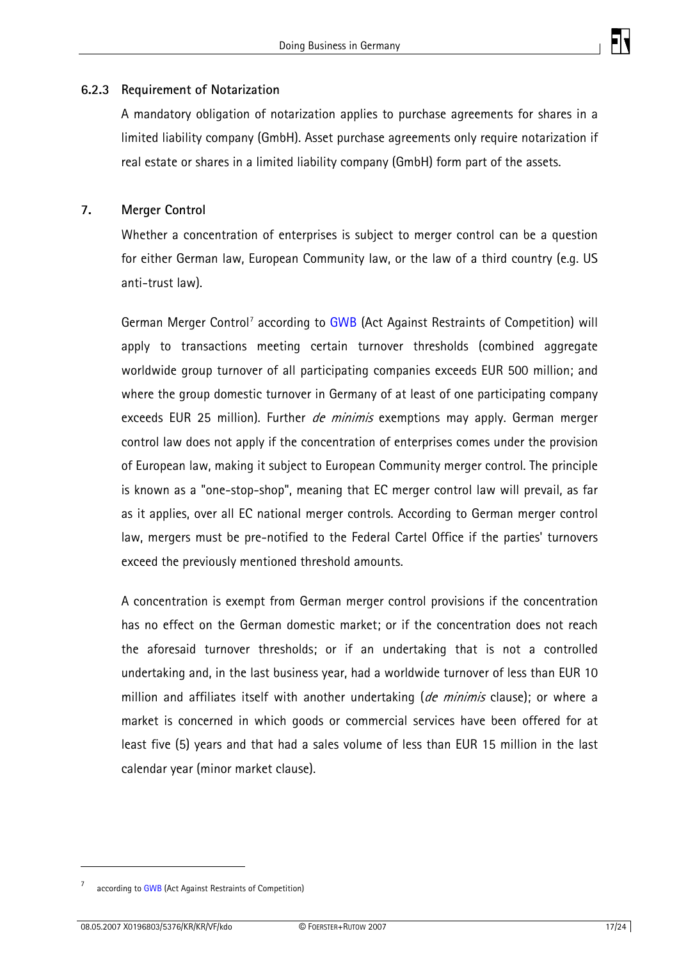

#### <span id="page-16-0"></span>**6.2.3 Requirement of Notarization**

A mandatory obligation of notarization applies to purchase agreements for shares in a limited liability company (GmbH). Asset purchase agreements only require notarization if real estate or shares in a limited liability company (GmbH) form part of the assets.

#### **7. Merger Control**

Whether a concentration of enterprises is subject to merger control can be a question for either German law, European Community law, or the law of a third country (e.g. US anti-trust law).

German Merger Control<sup>[7](#page-16-1)</sup> according to [GWB](http://www.gesetze-im-internet.de/gwb/index.html) (Act Against Restraints of Competition) will apply to transactions meeting certain turnover thresholds (combined aggregate worldwide group turnover of all participating companies exceeds EUR 500 million; and where the group domestic turnover in Germany of at least of one participating company exceeds EUR 25 million). Further *de minimis* exemptions may apply. German merger control law does not apply if the concentration of enterprises comes under the provision of European law, making it subject to European Community merger control. The principle is known as a "one-stop-shop", meaning that EC merger control law will prevail, as far as it applies, over all EC national merger controls. According to German merger control law, mergers must be pre-notified to the Federal Cartel Office if the parties' turnovers exceed the previously mentioned threshold amounts.

A concentration is exempt from German merger control provisions if the concentration has no effect on the German domestic market; or if the concentration does not reach the aforesaid turnover thresholds; or if an undertaking that is not a controlled undertaking and, in the last business year, had a worldwide turnover of less than EUR 10 million and affiliates itself with another undertaking (de minimis clause); or where a market is concerned in which goods or commercial services have been offered for at least five (5) years and that had a sales volume of less than EUR 15 million in the last calendar year (minor market clause).

<span id="page-16-1"></span><sup>7</sup> according to GWB (Act Against Restraints of Competition)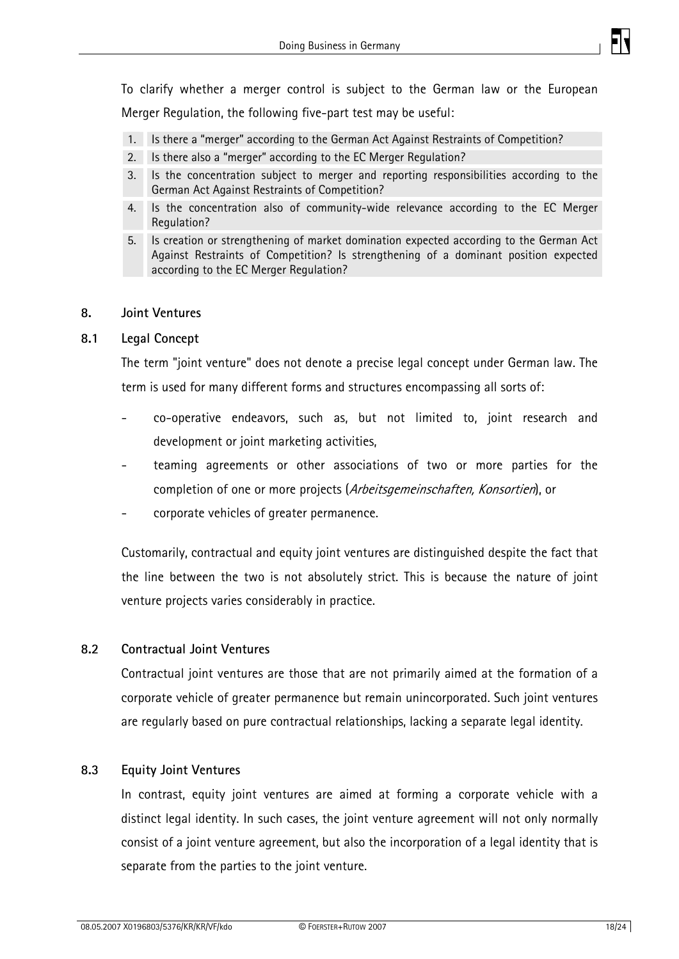

<span id="page-17-0"></span>To clarify whether a merger control is subject to the German law or the European Merger Regulation, the following five-part test may be useful:

- 1. Is there a "merger" according to the German Act Against Restraints of Competition?
- 2. Is there also a "merger" according to the EC Merger Regulation?
- 3. Is the concentration subject to merger and reporting responsibilities according to the German Act Against Restraints of Competition?
- 4. Is the concentration also of community-wide relevance according to the EC Merger Regulation?
- 5. Is creation or strengthening of market domination expected according to the German Act Against Restraints of Competition? Is strengthening of a dominant position expected according to the EC Merger Regulation?

#### **8. Joint Ventures**

#### **8.1 Legal Concept**

The term "joint venture" does not denote a precise legal concept under German law. The term is used for many different forms and structures encompassing all sorts of:

- co-operative endeavors, such as, but not limited to, joint research and development or joint marketing activities,
- teaming agreements or other associations of two or more parties for the completion of one or more projects (Arbeitsgemeinschaften, Konsortien), or
- corporate vehicles of greater permanence.

Customarily, contractual and equity joint ventures are distinguished despite the fact that the line between the two is not absolutely strict. This is because the nature of joint venture projects varies considerably in practice.

#### **8.2 Contractual Joint Ventures**

Contractual joint ventures are those that are not primarily aimed at the formation of a corporate vehicle of greater permanence but remain unincorporated. Such joint ventures are regularly based on pure contractual relationships, lacking a separate legal identity.

#### **8.3 Equity Joint Ventures**

In contrast, equity joint ventures are aimed at forming a corporate vehicle with a distinct legal identity. In such cases, the joint venture agreement will not only normally consist of a joint venture agreement, but also the incorporation of a legal identity that is separate from the parties to the joint venture.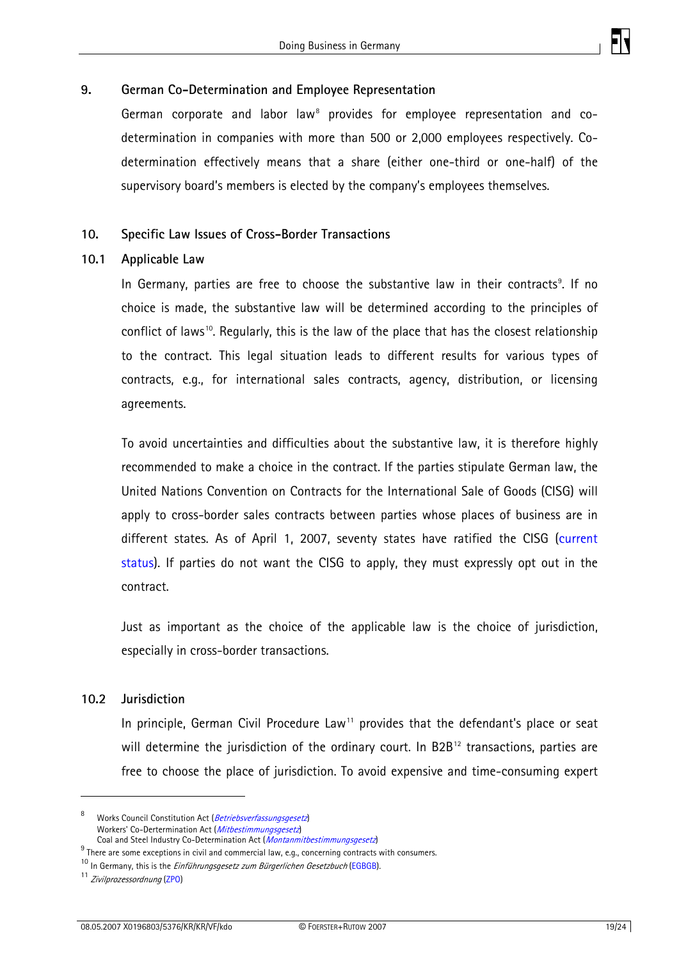

#### <span id="page-18-0"></span>**9. German Co-Determination and Employee Representation**

German corporate and labor law<sup>[8](#page-18-1)</sup> provides for employee representation and codetermination in companies with more than 500 or 2,000 employees respectively. Codetermination effectively means that a share (either one-third or one-half) of the supervisory board's members is elected by the company's employees themselves.

#### **10. Specific Law Issues of Cross-Border Transactions**

#### **10.1 Applicable Law**

In Germany, parties are free to choose the substantive law in their contracts<sup>[9](#page-18-2)</sup>. If no choice is made, the substantive law will be determined according to the principles of conflict of laws<sup>[1](#page-18-3)0</sup>. Regularly, this is the law of the place that has the closest relationship to the contract. This legal situation leads to different results for various types of contracts, e.g., for international sales contracts, agency, distribution, or licensing agreements.

To avoid uncertainties and difficulties about the substantive law, it is therefore highly recommended to make a choice in the contract. If the parties stipulate German law, the United Nations Convention on Contracts for the International Sale of Goods (CISG) will apply to cross-border sales contracts between parties whose places of business are in different states. As of April 1, 2007, seventy states have ratified the CISG [\(current](http://www.uncitral.org/uncitral/en/uncitral_texts/sale_goods/1980CISG_status.html)  [status\)](http://www.uncitral.org/uncitral/en/uncitral_texts/sale_goods/1980CISG_status.html). If parties do not want the CISG to apply, they must expressly opt out in the contract.

Just as important as the choice of the applicable law is the choice of jurisdiction, especially in cross-border transactions.

#### **10.2 Jurisdiction**

In principle, German Civil Procedure Law<sup>[1](#page-18-4)1</sup> provides that the defendant's place or seat will determine the jurisdiction of the ordinary court. In B2B<sup>[1](#page-18-5)2</sup> transactions, parties are free to choose the place of jurisdiction. To avoid expensive and time-consuming expert

<span id="page-18-1"></span><sup>8</sup> Works Council Constitution Act (Betriebsverfassungsgesetz) Workers' Co-Dertermination Act (Mitbestimmungsgesetz)

<span id="page-18-5"></span>Coal and Steel Industry Co-Determination Act (*Montanmitbestimmungsgesetz*)<br><sup>9</sup> There are some exceptions in civil and commercial law, e.g., concerning contracts with consumers.

<span id="page-18-3"></span><span id="page-18-2"></span><sup>&</sup>lt;sup>10</sup> In Germany, this is the *Einführungsgesetz zum Bürgerlichen Gesetzbuch* (EGBGB). <sup>11</sup> *Zivilprozessordnung* (ZPO)

<span id="page-18-4"></span>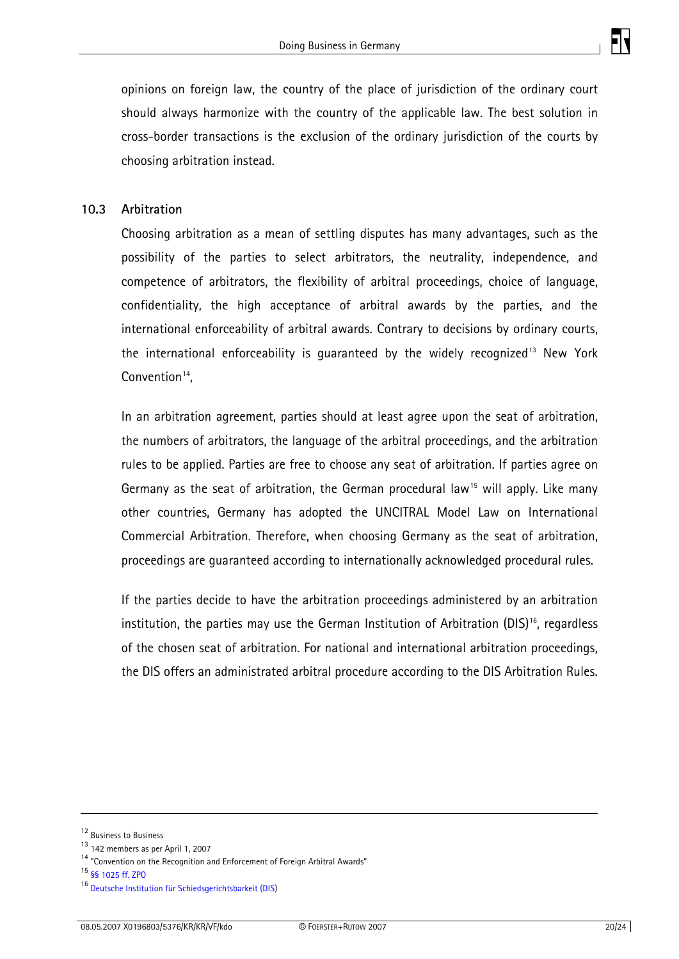

<span id="page-19-0"></span>opinions on foreign law, the country of the place of jurisdiction of the ordinary court should always harmonize with the country of the applicable law. The best solution in cross-border transactions is the exclusion of the ordinary jurisdiction of the courts by choosing arbitration instead.

#### **10.3 Arbitration**

Choosing arbitration as a mean of settling disputes has many advantages, such as the possibility of the parties to select arbitrators, the neutrality, independence, and competence of arbitrators, the flexibility of arbitral proceedings, choice of language, confidentiality, the high acceptance of arbitral awards by the parties, and the international enforceability of arbitral awards. Contrary to decisions by ordinary courts, the international enforceability is guaranteed by the widely recognized<sup>[1](#page-19-1)3</sup> New York Convention $14$  $14$ ,

In an arbitration agreement, parties should at least agree upon the seat of arbitration, the numbers of arbitrators, the language of the arbitral proceedings, and the arbitration rules to be applied. Parties are free to choose any seat of arbitration. If parties agree on Germany as the seat of arbitration, the German procedural law<sup>[15](#page-19-3)</sup> will apply. Like many other countries, Germany has adopted the UNCITRAL Model Law on International Commercial Arbitration. Therefore, when choosing Germany as the seat of arbitration, proceedings are guaranteed according to internationally acknowledged procedural rules.

If the parties decide to have the arbitration proceedings administered by an arbitration institution, the parties may use the German Institution of Arbitration (DIS)<sup>[16](#page-19-4)</sup>, regardless of the chosen seat of arbitration. For national and international arbitration proceedings, the DIS offers an administrated arbitral procedure according to the DIS Arbitration Rules.

1

 $12$  Business to Business<br> $13$  142 members as per April 1, 2007

<span id="page-19-2"></span><span id="page-19-1"></span> $14$  "Convention on the Recognition and Enforcement of Foreign Arbitral Awards"

<span id="page-19-3"></span><sup>15</sup> §§ 1025 ff. ZPO

<span id="page-19-4"></span><sup>16</sup> Deutsche Institution für Schiedsgerichtsbarkeit (DIS)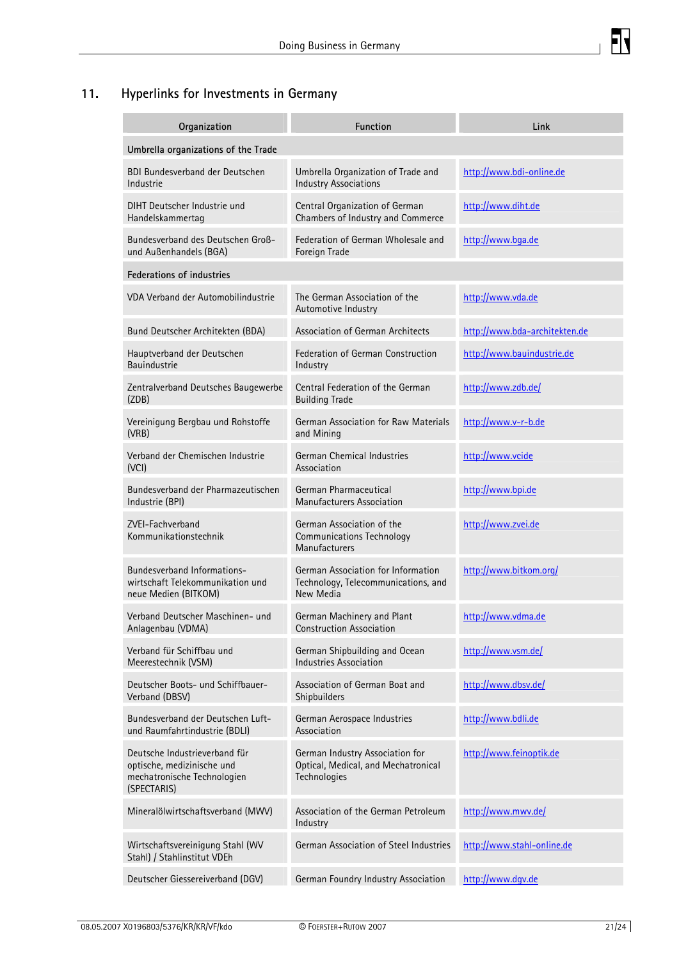

# <span id="page-20-0"></span>**11. Hyperlinks for Investments in Germany**

| Organization                                                                                              | <b>Function</b>                                                                        | Link                          |  |  |
|-----------------------------------------------------------------------------------------------------------|----------------------------------------------------------------------------------------|-------------------------------|--|--|
| Umbrella organizations of the Trade                                                                       |                                                                                        |                               |  |  |
| <b>BDI Bundesverband der Deutschen</b><br>Industrie                                                       | Umbrella Organization of Trade and<br><b>Industry Associations</b>                     | http://www.bdi-online.de      |  |  |
| DIHT Deutscher Industrie und<br>Handelskammertag                                                          | Central Organization of German<br>Chambers of Industry and Commerce                    | http://www.diht.de            |  |  |
| Bundesverband des Deutschen Groß-<br>und Außenhandels (BGA)                                               | Federation of German Wholesale and<br>Foreign Trade                                    | http://www.bqa.de             |  |  |
| <b>Federations of industries</b>                                                                          |                                                                                        |                               |  |  |
| VDA Verband der Automobilindustrie                                                                        | The German Association of the<br>Automotive Industry                                   | http://www.vda.de             |  |  |
| Bund Deutscher Architekten (BDA)                                                                          | <b>Association of German Architects</b>                                                | http://www.bda-architekten.de |  |  |
| Hauptverband der Deutschen<br><b>Bauindustrie</b>                                                         | Federation of German Construction<br>Industry                                          | http://www.bauindustrie.de    |  |  |
| Zentralverband Deutsches Baugewerbe<br>(ZDB)                                                              | Central Federation of the German<br><b>Building Trade</b>                              | http://www.zdb.de/            |  |  |
| Vereinigung Bergbau und Rohstoffe<br>(VRB)                                                                | German Association for Raw Materials<br>and Mining                                     | http://www.v-r-b.de           |  |  |
| Verband der Chemischen Industrie<br>(VCI)                                                                 | German Chemical Industries<br>Association                                              | http://www.vcide              |  |  |
| Bundesverband der Pharmazeutischen<br>Industrie (BPI)                                                     | German Pharmaceutical<br><b>Manufacturers Association</b>                              | http://www.bpi.de             |  |  |
| ZVEI-Fachverband<br>Kommunikationstechnik                                                                 | German Association of the<br><b>Communications Technology</b><br><b>Manufacturers</b>  | http://www.zvei.de            |  |  |
| Bundesverband Informations-<br>wirtschaft Telekommunikation und<br>neue Medien (BITKOM)                   | German Association for Information<br>Technology, Telecommunications, and<br>New Media | http://www.bitkom.org/        |  |  |
| Verband Deutscher Maschinen- und<br>Anlagenbau (VDMA)                                                     | German Machinery and Plant<br><b>Construction Association</b>                          | http://www.vdma.de            |  |  |
| Verband für Schiffbau und<br>Meerestechnik (VSM)                                                          | German Shipbuilding and Ocean<br><b>Industries Association</b>                         | http://www.vsm.de/            |  |  |
| Deutscher Boots- und Schiffbauer-<br>Verband (DBSV)                                                       | Association of German Boat and<br>Shipbuilders                                         | http://www.dbsv.de/           |  |  |
| Bundesverband der Deutschen Luft-<br>und Raumfahrtindustrie (BDLI)                                        | German Aerospace Industries<br>Association                                             | http://www.bdli.de            |  |  |
| Deutsche Industrieverband für<br>optische, medizinische und<br>mechatronische Technologien<br>(SPECTARIS) | German Industry Association for<br>Optical, Medical, and Mechatronical<br>Technologies | http://www.feinoptik.de       |  |  |
| Mineralölwirtschaftsverband (MWV)                                                                         | Association of the German Petroleum<br>Industry                                        | http://www.mwv.de/            |  |  |
| Wirtschaftsvereinigung Stahl (WV<br>Stahl) / Stahlinstitut VDEh                                           | German Association of Steel Industries                                                 | http://www.stahl-online.de    |  |  |
| Deutscher Giessereiverband (DGV)                                                                          | German Foundry Industry Association                                                    | http://www.dqv.de             |  |  |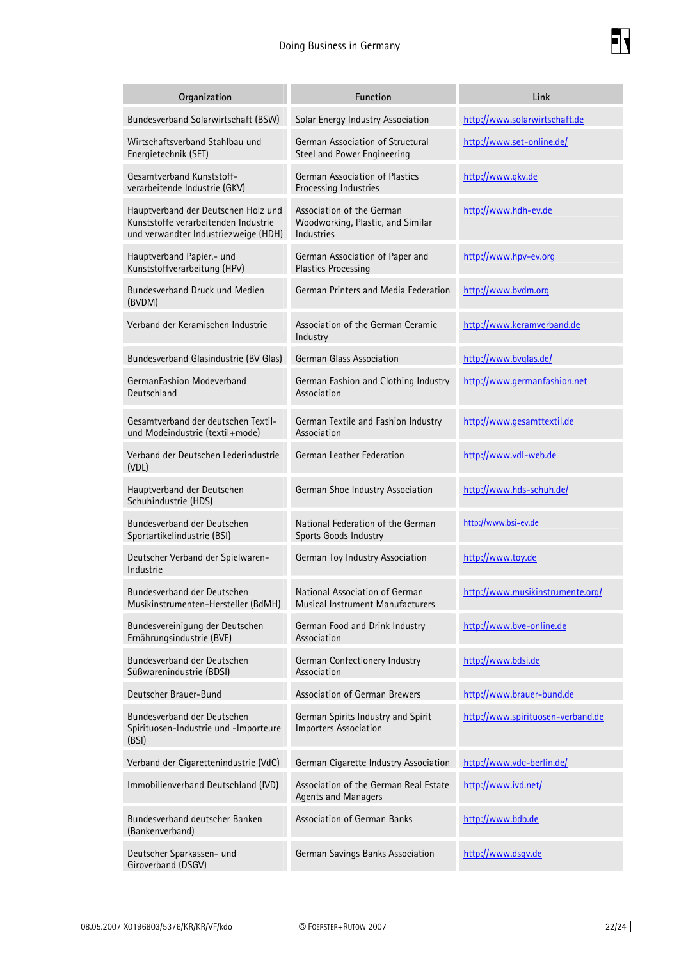

| Organization                                                                                                        | <b>Function</b>                                                                     | Link                              |
|---------------------------------------------------------------------------------------------------------------------|-------------------------------------------------------------------------------------|-----------------------------------|
| Bundesverband Solarwirtschaft (BSW)                                                                                 | Solar Energy Industry Association                                                   | http://www.solarwirtschaft.de     |
| Wirtschaftsverband Stahlbau und<br>Energietechnik (SET)                                                             | German Association of Structural<br><b>Steel and Power Engineering</b>              | http://www.set-online.de/         |
| Gesamtverband Kunststoff-<br>verarbeitende Industrie (GKV)                                                          | German Association of Plastics<br>Processing Industries                             | http://www.gkv.de                 |
| Hauptverband der Deutschen Holz und<br>Kunststoffe verarbeitenden Industrie<br>und verwandter Industriezweige (HDH) | Association of the German<br>Woodworking, Plastic, and Similar<br><b>Industries</b> | http://www.hdh-ev.de              |
| Hauptverband Papier.- und<br>Kunststoffverarbeitung (HPV)                                                           | German Association of Paper and<br>Plastics Processing                              | http://www.hpv-ev.org             |
| Bundesverband Druck und Medien<br>(BVDM)                                                                            | German Printers and Media Federation                                                | http://www.bvdm.org               |
| Verband der Keramischen Industrie                                                                                   | Association of the German Ceramic<br>Industry                                       | http://www.keramverband.de        |
| Bundesverband Glasindustrie (BV Glas)                                                                               | German Glass Association                                                            | http://www.bvglas.de/             |
| GermanFashion Modeverband<br>Deutschland                                                                            | German Fashion and Clothing Industry<br>Association                                 | http://www.germanfashion.net      |
| Gesamtverband der deutschen Textil-<br>und Modeindustrie (textil+mode)                                              | German Textile and Fashion Industry<br>Association                                  | http://www.gesamttextil.de        |
| Verband der Deutschen Lederindustrie<br>(VDL)                                                                       | German Leather Federation                                                           | http://www.vdl-web.de             |
| Hauptverband der Deutschen<br>Schuhindustrie (HDS)                                                                  | German Shoe Industry Association                                                    | http://www.hds-schuh.de/          |
| Bundesverband der Deutschen<br>Sportartikelindustrie (BSI)                                                          | National Federation of the German<br>Sports Goods Industry                          | http://www.bsi-ev.de              |
| Deutscher Verband der Spielwaren-<br>Industrie                                                                      | German Toy Industry Association                                                     | http://www.toy.de                 |
| Bundesverband der Deutschen<br>Musikinstrumenten-Hersteller (BdMH)                                                  | National Association of German<br>Musical Instrument Manufacturers                  | http://www.musikinstrumente.org/  |
| Bundesvereinigung der Deutschen<br>Ernährungsindustrie (BVE)                                                        | German Food and Drink Industry<br>Association                                       | http://www.bve-online.de          |
| Bundesverband der Deutschen<br>Süßwarenindustrie (BDSI)                                                             | German Confectionery Industry<br>Association                                        | http://www.bdsi.de                |
| Deutscher Brauer-Bund                                                                                               | <b>Association of German Brewers</b>                                                | http://www.brauer-bund.de         |
| Bundesverband der Deutschen<br>Spirituosen-Industrie und -Importeure<br>(BSI)                                       | German Spirits Industry and Spirit<br><b>Importers Association</b>                  | http://www.spirituosen-verband.de |
| Verband der Cigarettenindustrie (VdC)                                                                               | German Cigarette Industry Association                                               | http://www.vdc-berlin.de/         |
| Immobilienverband Deutschland (IVD)                                                                                 | Association of the German Real Estate<br><b>Agents and Managers</b>                 | http://www.ivd.net/               |
| Bundesverband deutscher Banken<br>(Bankenverband)                                                                   | Association of German Banks                                                         | http://www.bdb.de                 |
| Deutscher Sparkassen- und<br>Giroverband (DSGV)                                                                     | German Savings Banks Association                                                    | http://www.dsgv.de                |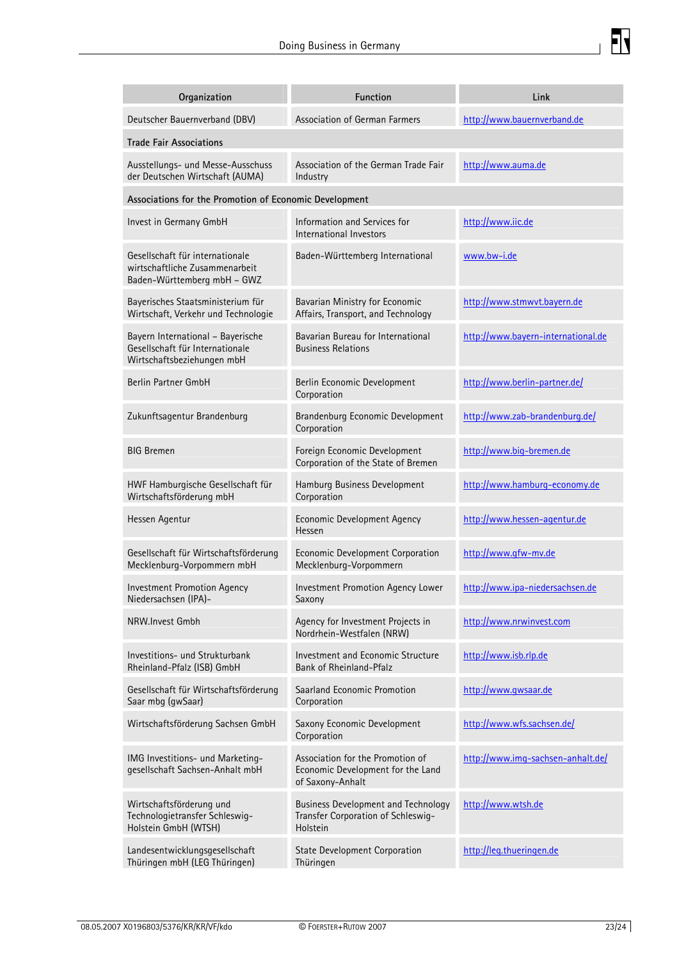

| Organization                                                                                       | <b>Function</b>                                                                              | Link                               |  |  |
|----------------------------------------------------------------------------------------------------|----------------------------------------------------------------------------------------------|------------------------------------|--|--|
| Deutscher Bauernverband (DBV)                                                                      | Association of German Farmers                                                                | http://www.bauernverband.de        |  |  |
| <b>Trade Fair Associations</b>                                                                     |                                                                                              |                                    |  |  |
| Ausstellungs- und Messe-Ausschuss<br>der Deutschen Wirtschaft (AUMA)                               | Association of the German Trade Fair<br>Industry                                             | http://www.auma.de                 |  |  |
| Associations for the Promotion of Economic Development                                             |                                                                                              |                                    |  |  |
| Invest in Germany GmbH                                                                             | Information and Services for<br>International Investors                                      | http://www.iic.de                  |  |  |
| Gesellschaft für internationale<br>wirtschaftliche Zusammenarbeit<br>Baden-Württemberg mbH - GWZ   | Baden-Württemberg International                                                              | www.bw-i.de                        |  |  |
| Bayerisches Staatsministerium für<br>Wirtschaft, Verkehr und Technologie                           | Bavarian Ministry for Economic<br>Affairs, Transport, and Technology                         | http://www.stmwvt.bayern.de        |  |  |
| Bayern International - Bayerische<br>Gesellschaft für Internationale<br>Wirtschaftsbeziehungen mbH | Bavarian Bureau for International<br><b>Business Relations</b>                               | http://www.bayern-international.de |  |  |
| Berlin Partner GmbH                                                                                | Berlin Economic Development<br>Corporation                                                   | http://www.berlin-partner.de/      |  |  |
| Zukunftsagentur Brandenburg                                                                        | Brandenburg Economic Development<br>Corporation                                              | http://www.zab-brandenburg.de/     |  |  |
| <b>BIG Bremen</b>                                                                                  | Foreign Economic Development<br>Corporation of the State of Bremen                           | http://www.big-bremen.de           |  |  |
| HWF Hamburgische Gesellschaft für<br>Wirtschaftsförderung mbH                                      | Hamburg Business Development<br>Corporation                                                  | http://www.hamburg-economy.de      |  |  |
| Hessen Agentur                                                                                     | <b>Economic Development Agency</b><br>Hessen                                                 | http://www.hessen-agentur.de       |  |  |
| Gesellschaft für Wirtschaftsförderung<br>Mecklenburg-Vorpommern mbH                                | Economic Development Corporation<br>Mecklenburg-Vorpommern                                   | http://www.gfw-mv.de               |  |  |
| <b>Investment Promotion Agency</b><br>Niedersachsen (IPA)-                                         | Investment Promotion Agency Lower<br>Saxony                                                  | http://www.ipa-niedersachsen.de    |  |  |
| NRW.Invest Gmbh                                                                                    | Agency for Investment Projects in<br>Nordrhein-Westfalen (NRW)                               | http://www.nrwinvest.com           |  |  |
| Investitions- und Strukturbank<br>Rheinland-Pfalz (ISB) GmbH                                       | Investment and Economic Structure<br><b>Bank of Rheinland-Pfalz</b>                          | http://www.isb.rlp.de              |  |  |
| Gesellschaft für Wirtschaftsförderung<br>Saar mbg (gwSaar)                                         | Saarland Economic Promotion<br>Corporation                                                   | http://www.gwsaar.de               |  |  |
| Wirtschaftsförderung Sachsen GmbH                                                                  | Saxony Economic Development<br>Corporation                                                   | http://www.wfs.sachsen.de/         |  |  |
| IMG Investitions- und Marketing-<br>gesellschaft Sachsen-Anhalt mbH                                | Association for the Promotion of<br>Economic Development for the Land<br>of Saxony-Anhalt    | http://www.imq-sachsen-anhalt.de/  |  |  |
| Wirtschaftsförderung und<br>Technologietransfer Schleswig-<br>Holstein GmbH (WTSH)                 | <b>Business Development and Technology</b><br>Transfer Corporation of Schleswig-<br>Holstein | http://www.wtsh.de                 |  |  |
| Landesentwicklungsgesellschaft<br>Thüringen mbH (LEG Thüringen)                                    | <b>State Development Corporation</b><br>Thüringen                                            | http://leg.thueringen.de           |  |  |